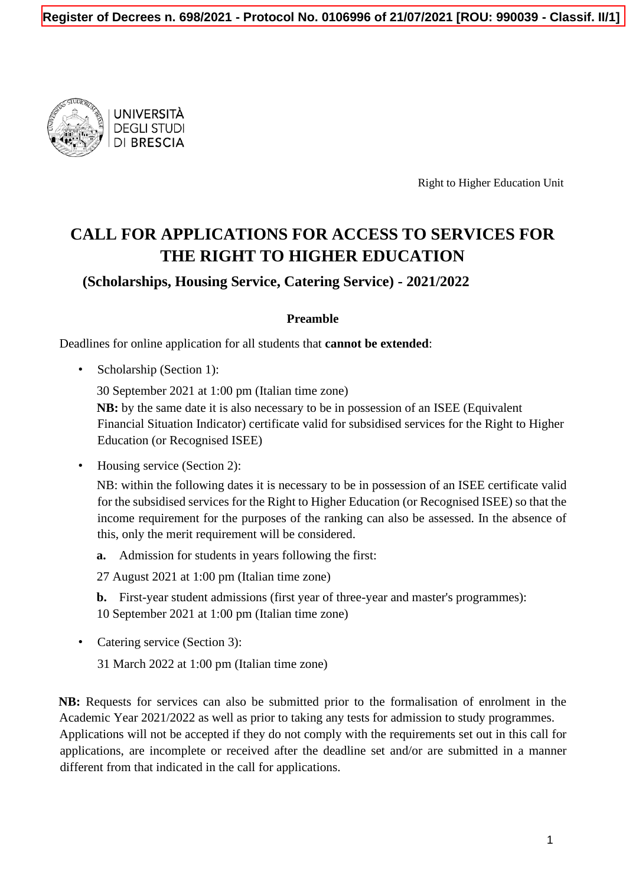

UNIVERSITÀ **DEGLI STUDI DI BRESCIA** 

Right to Higher Education Unit

# **CALL FOR APPLICATIONS FOR ACCESS TO SERVICES FOR THE RIGHT TO HIGHER EDUCATION**

**(Scholarships, Housing Service, Catering Service) - 2021/2022**

#### **Preamble**

Deadlines for online application for all students that **cannot be extended**:

• Scholarship (Section 1):

30 September 2021 at 1:00 pm (Italian time zone)

**NB:** by the same date it is also necessary to be in possession of an ISEE (Equivalent Financial Situation Indicator) certificate valid for subsidised services for the Right to Higher Education (or Recognised ISEE)

• Housing service (Section 2):

NB: within the following dates it is necessary to be in possession of an ISEE certificate valid for the subsidised services for the Right to Higher Education (or Recognised ISEE) so that the income requirement for the purposes of the ranking can also be assessed. In the absence of this, only the merit requirement will be considered.

**a.** Admission for students in years following the first:

27 August 2021 at 1:00 pm (Italian time zone)

**b.** First-year student admissions (first year of three-year and master's programmes): 10 September 2021 at 1:00 pm (Italian time zone)

• Catering service (Section 3):

31 March 2022 at 1:00 pm (Italian time zone)

**NB:** Requests for services can also be submitted prior to the formalisation of enrolment in the Academic Year 2021/2022 as well as prior to taking any tests for admission to study programmes. Applications will not be accepted if they do not comply with the requirements set out in this call for applications, are incomplete or received after the deadline set and/or are submitted in a manner different from that indicated in the call for applications.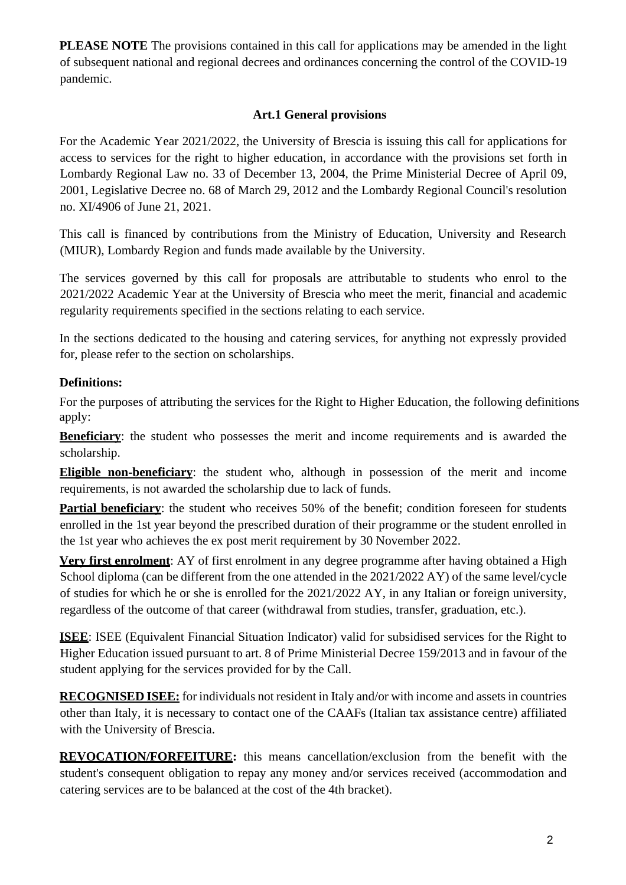**PLEASE NOTE** The provisions contained in this call for applications may be amended in the light of subsequent national and regional decrees and ordinances concerning the control of the COVID-19 pandemic.

#### **Art.1 General provisions**

For the Academic Year 2021/2022, the University of Brescia is issuing this call for applications for access to services for the right to higher education, in accordance with the provisions set forth in Lombardy Regional Law no. 33 of December 13, 2004, the Prime Ministerial Decree of April 09, 2001, Legislative Decree no. 68 of March 29, 2012 and the Lombardy Regional Council's resolution no. XI/4906 of June 21, 2021.

This call is financed by contributions from the Ministry of Education, University and Research (MIUR), Lombardy Region and funds made available by the University.

The services governed by this call for proposals are attributable to students who enrol to the 2021/2022 Academic Year at the University of Brescia who meet the merit, financial and academic regularity requirements specified in the sections relating to each service.

In the sections dedicated to the housing and catering services, for anything not expressly provided for, please refer to the section on scholarships.

## **Definitions:**

For the purposes of attributing the services for the Right to Higher Education, the following definitions apply:

**Beneficiary**: the student who possesses the merit and income requirements and is awarded the scholarship.

**Eligible non-beneficiary**: the student who, although in possession of the merit and income requirements, is not awarded the scholarship due to lack of funds.

**Partial beneficiary**: the student who receives 50% of the benefit; condition foreseen for students enrolled in the 1st year beyond the prescribed duration of their programme or the student enrolled in the 1st year who achieves the ex post merit requirement by 30 November 2022.

**Very first enrolment**: AY of first enrolment in any degree programme after having obtained a High School diploma (can be different from the one attended in the 2021/2022 AY) of the same level/cycle of studies for which he or she is enrolled for the 2021/2022 AY, in any Italian or foreign university, regardless of the outcome of that career (withdrawal from studies, transfer, graduation, etc.).

**ISEE**: ISEE (Equivalent Financial Situation Indicator) valid for subsidised services for the Right to Higher Education issued pursuant to art. 8 of Prime Ministerial Decree 159/2013 and in favour of the student applying for the services provided for by the Call.

**RECOGNISED ISEE:** for individuals not resident in Italy and/or with income and assets in countries other than Italy, it is necessary to contact one of the CAAFs (Italian tax assistance centre) affiliated with the University of Brescia.

**REVOCATION/FORFEITURE:** this means cancellation/exclusion from the benefit with the student's consequent obligation to repay any money and/or services received (accommodation and catering services are to be balanced at the cost of the 4th bracket).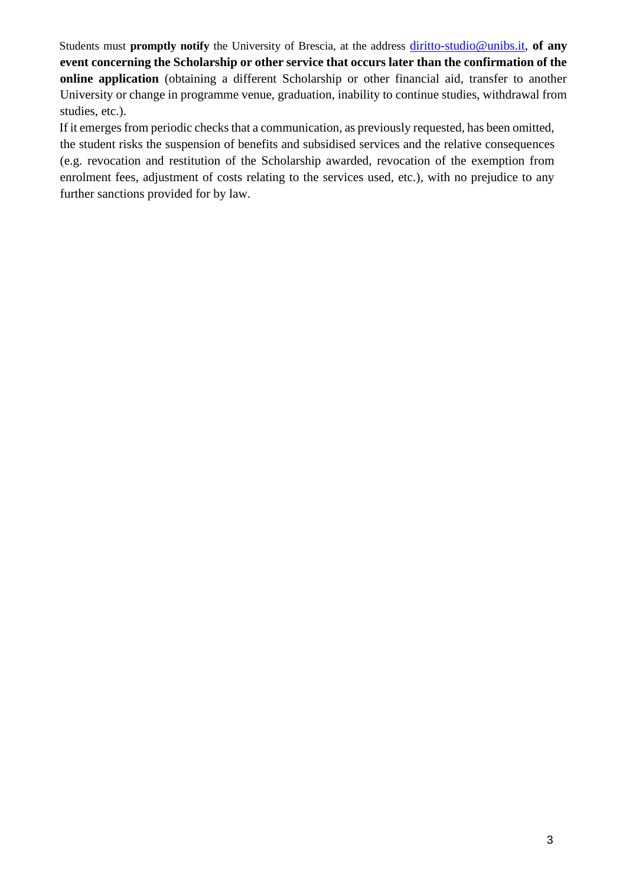Students must **promptly notify** the University of Brescia, at the address [diritto-studio@unibs.it,](mailto:diritto-studio@unibs.it) **of any event concerning the Scholarship or other service that occurs later than the confirmation of the online application** (obtaining a different Scholarship or other financial aid, transfer to another University or change in programme venue, graduation, inability to continue studies, withdrawal from studies, etc.).

If it emerges from periodic checks that a communication, as previously requested, has been omitted, the student risks the suspension of benefits and subsidised services and the relative consequences (e.g. revocation and restitution of the Scholarship awarded, revocation of the exemption from enrolment fees, adjustment of costs relating to the services used, etc.), with no prejudice to any further sanctions provided for by law.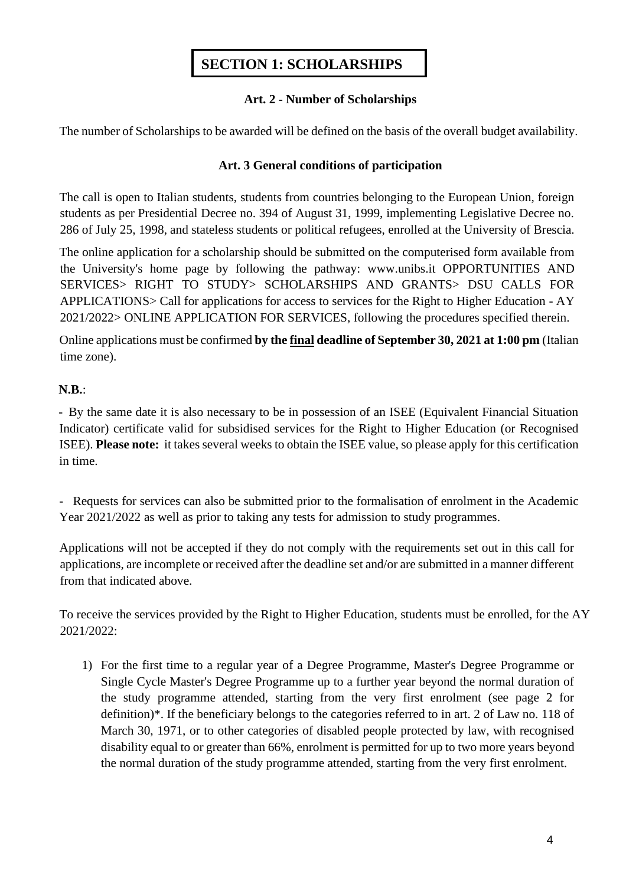## **SECTION 1: SCHOLARSHIPS**

#### **Art. 2 - Number of Scholarships**

The number of Scholarships to be awarded will be defined on the basis of the overall budget availability.

#### **Art. 3 General conditions of participation**

The call is open to Italian students, students from countries belonging to the European Union, foreign students as per Presidential Decree no. 394 of August 31, 1999, implementing Legislative Decree no. 286 of July 25, 1998, and stateless students or political refugees, enrolled at the University of Brescia.

The online application for a scholarship should be submitted on the computerised form available from the University's home page by following the pathway: [www.unibs.it](http://en.unibs.it/) OPPORTUNITIES AND SERVICES> RIGHT TO STUDY> SCHOLARSHIPS AND GRANTS> DSU CALLS FOR APPLICATIONS> Call for applications for access to services for the Right to Higher Education - AY 2021/2022> ONLINE APPLICATION FOR SERVICES, following the procedures specified therein.

Online applications must be confirmed **by the final deadline of September 30, 2021 at 1:00 pm** (Italian time zone).

#### **N.B.**:

- By the same date it is also necessary to be in possession of an ISEE (Equivalent Financial Situation Indicator) certificate valid for subsidised services for the Right to Higher Education (or Recognised ISEE). **Please note:** it takes several weeks to obtain the ISEE value, so please apply for this certification in time.

- Requests for services can also be submitted prior to the formalisation of enrolment in the Academic Year 2021/2022 as well as prior to taking any tests for admission to study programmes.

Applications will not be accepted if they do not comply with the requirements set out in this call for applications, are incomplete or received after the deadline set and/or are submitted in a manner different from that indicated above.

To receive the services provided by the Right to Higher Education, students must be enrolled, for the AY 2021/2022:

1) For the first time to a regular year of a Degree Programme, Master's Degree Programme or Single Cycle Master's Degree Programme up to a further year beyond the normal duration of the study programme attended, starting from the very first enrolment (see page 2 for definition)\*. If the beneficiary belongs to the categories referred to in art. 2 of Law no. 118 of March 30, 1971, or to other categories of disabled people protected by law, with recognised disability equal to or greater than 66%, enrolment is permitted for up to two more years beyond the normal duration of the study programme attended, starting from the very first enrolment.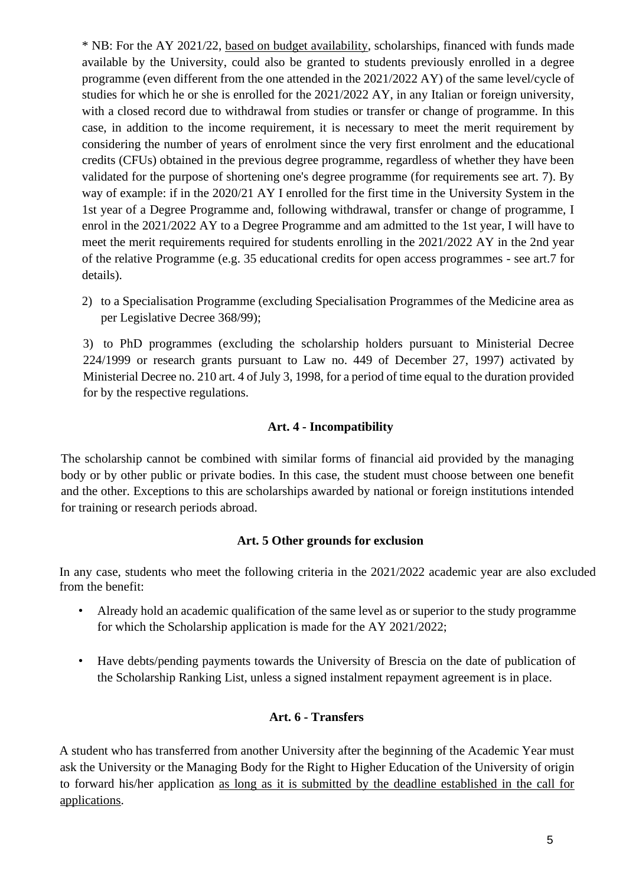\* NB: For the AY 2021/22, based on budget availability, scholarships, financed with funds made available by the University, could also be granted to students previously enrolled in a degree programme (even different from the one attended in the 2021/2022 AY) of the same level/cycle of studies for which he or she is enrolled for the 2021/2022 AY, in any Italian or foreign university, with a closed record due to withdrawal from studies or transfer or change of programme. In this case, in addition to the income requirement, it is necessary to meet the merit requirement by considering the number of years of enrolment since the very first enrolment and the educational credits (CFUs) obtained in the previous degree programme, regardless of whether they have been validated for the purpose of shortening one's degree programme (for requirements see art. 7). By way of example: if in the 2020/21 AY I enrolled for the first time in the University System in the 1st year of a Degree Programme and, following withdrawal, transfer or change of programme, I enrol in the 2021/2022 AY to a Degree Programme and am admitted to the 1st year, I will have to meet the merit requirements required for students enrolling in the 2021/2022 AY in the 2nd year of the relative Programme (e.g. 35 educational credits for open access programmes - see art.7 for details).

2) to a Specialisation Programme (excluding Specialisation Programmes of the Medicine area as per Legislative Decree 368/99);

3) to PhD programmes (excluding the scholarship holders pursuant to Ministerial Decree 224/1999 or research grants pursuant to Law no. 449 of December 27, 1997) activated by Ministerial Decree no. 210 art. 4 of July 3, 1998, for a period of time equal to the duration provided for by the respective regulations.

#### **Art. 4 - Incompatibility**

The scholarship cannot be combined with similar forms of financial aid provided by the managing body or by other public or private bodies. In this case, the student must choose between one benefit and the other. Exceptions to this are scholarships awarded by national or foreign institutions intended for training or research periods abroad.

#### **Art. 5 Other grounds for exclusion**

In any case, students who meet the following criteria in the 2021/2022 academic year are also excluded from the benefit:

- Already hold an academic qualification of the same level as or superior to the study programme for which the Scholarship application is made for the AY 2021/2022;
- Have debts/pending payments towards the University of Brescia on the date of publication of the Scholarship Ranking List, unless a signed instalment repayment agreement is in place.

## **Art. 6 - Transfers**

A student who has transferred from another University after the beginning of the Academic Year must ask the University or the Managing Body for the Right to Higher Education of the University of origin to forward his/her application as long as it is submitted by the deadline established in the call for applications.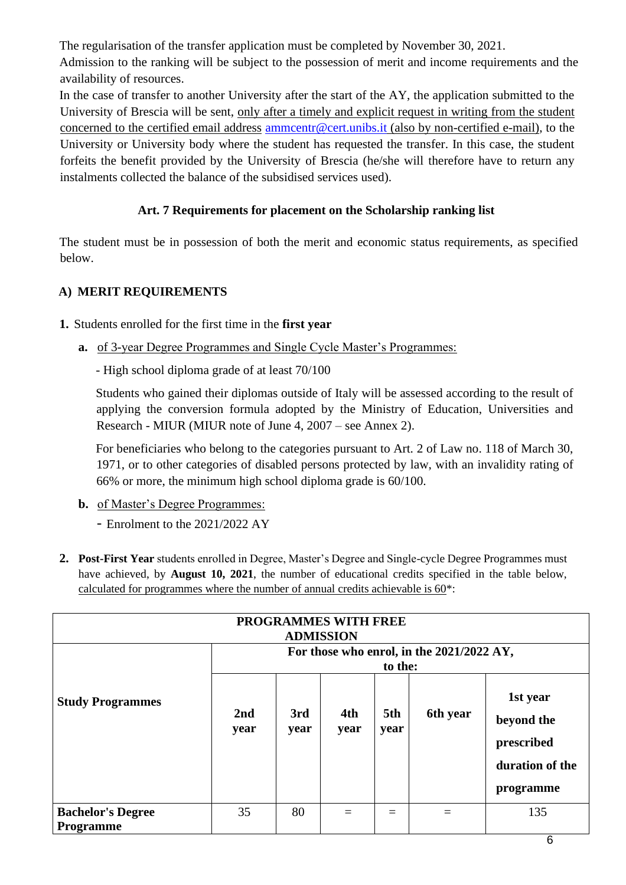The regularisation of the transfer application must be completed by November 30, 2021.

Admission to the ranking will be subject to the possession of merit and income requirements and the availability of resources.

In the case of transfer to another University after the start of the AY, the application submitted to the University of Brescia will be sent, only after a timely and explicit request in writing from the student concerned to the certified email address ammcentr@cert.unibs.it (also by non-certified e-mail), to the University or University body where the student has requested the transfer. In this case, the student forfeits the benefit provided by the University of Brescia (he/she will therefore have to return any instalments collected the balance of the subsidised services used).

## **Art. 7 Requirements for placement on the Scholarship ranking list**

The student must be in possession of both the merit and economic status requirements, as specified below.

## **A) MERIT REQUIREMENTS**

**1.** Students enrolled for the first time in the **first year**

**a.** of 3-year Degree Programmes and Single Cycle Master's Programmes:

- High school diploma grade of at least 70/100

Students who gained their diplomas outside of Italy will be assessed according to the result of applying the conversion formula adopted by the Ministry of Education, Universities and Research - MIUR (MIUR note of June 4, 2007 – see Annex 2).

For beneficiaries who belong to the categories pursuant to Art. 2 of Law no. 118 of March 30, 1971, or to other categories of disabled persons protected by law, with an invalidity rating of 66% or more, the minimum high school diploma grade is 60/100.

**b.** of Master's Degree Programmes:

- Enrolment to the 2021/2022 AY

**2. Post-First Year** students enrolled in Degree, Master's Degree and Single-cycle Degree Programmes must have achieved, by **August 10, 2021**, the number of educational credits specified in the table below, calculated for programmes where the number of annual credits achievable is 60\*:

|                                              |             |             | <b>PROGRAMMES WITH FREE</b><br><b>ADMISSION</b> |             |                                           |                                                                      |
|----------------------------------------------|-------------|-------------|-------------------------------------------------|-------------|-------------------------------------------|----------------------------------------------------------------------|
|                                              |             |             |                                                 | to the:     | For those who enrol, in the 2021/2022 AY, |                                                                      |
| <b>Study Programmes</b>                      | 2nd<br>year | 3rd<br>year | 4th<br>year                                     | 5th<br>year | 6th year                                  | 1st year<br>beyond the<br>prescribed<br>duration of the<br>programme |
| <b>Bachelor's Degree</b><br><b>Programme</b> | 35          | 80          |                                                 |             |                                           | 135                                                                  |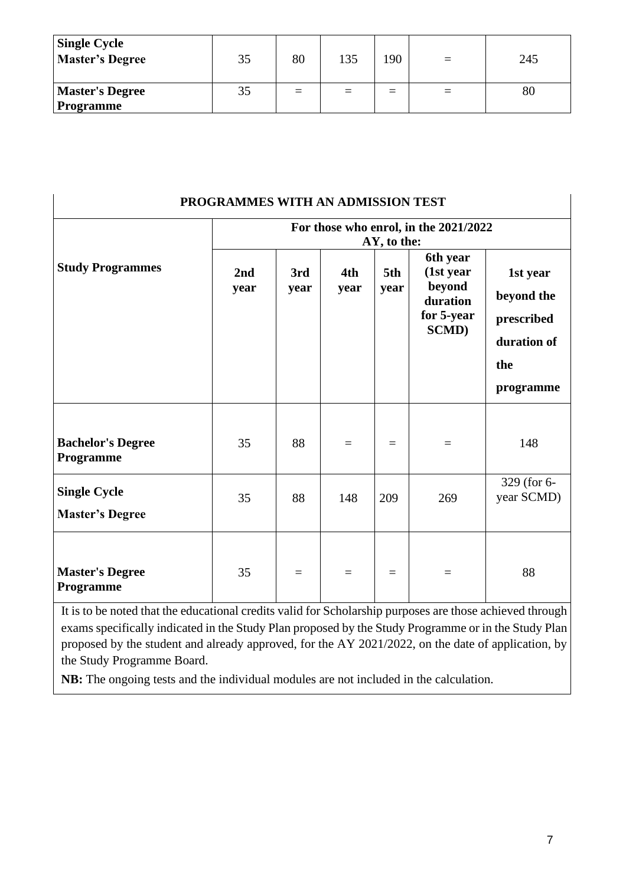| <b>Single Cycle</b><br>Master's Degree | 35 | 80  | 135 | 190 | 245 |
|----------------------------------------|----|-----|-----|-----|-----|
| <b>Master's Degree</b><br>Programme    | 35 | $=$ | $=$ |     | 80  |

| PROGRAMMES WITH AN ADMISSION TEST             |                                                      |             |                   |             |                                                                             |                                                                         |  |
|-----------------------------------------------|------------------------------------------------------|-------------|-------------------|-------------|-----------------------------------------------------------------------------|-------------------------------------------------------------------------|--|
|                                               | For those who enrol, in the 2021/2022<br>AY, to the: |             |                   |             |                                                                             |                                                                         |  |
| <b>Study Programmes</b>                       | 2nd<br>year                                          | 3rd<br>year | 4th<br>year       | 5th<br>year | 6th year<br>(1st year)<br>beyond<br>duration<br>for 5-year<br><b>SCMD</b> ) | 1st year<br>beyond the<br>prescribed<br>duration of<br>the<br>programme |  |
| <b>Bachelor's Degree</b><br>Programme         | 35                                                   | 88          | $\qquad \qquad =$ | $=$         | $=$                                                                         | 148                                                                     |  |
| <b>Single Cycle</b><br><b>Master's Degree</b> | 35                                                   | 88          | 148               | 209         | 269                                                                         | 329 (for 6-<br>year SCMD)                                               |  |
| <b>Master's Degree</b><br>Programme           | 35                                                   | $\equiv$    | $\equiv$          | $\equiv$    | $=$                                                                         | 88                                                                      |  |

It is to be noted that the educational credits valid for Scholarship purposes are those achieved through exams specifically indicated in the Study Plan proposed by the Study Programme or in the Study Plan proposed by the student and already approved, for the AY 2021/2022, on the date of application, by the Study Programme Board.

**NB:** The ongoing tests and the individual modules are not included in the calculation.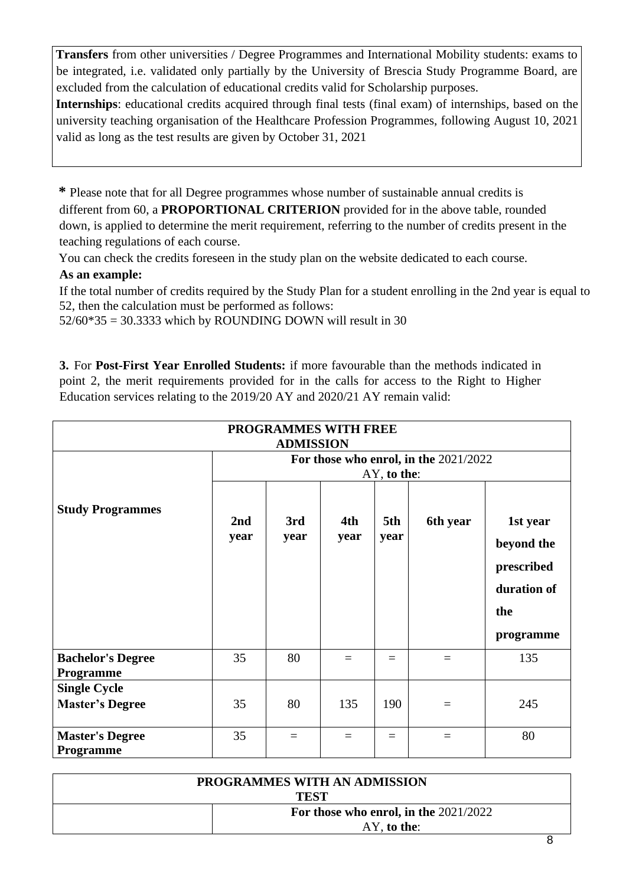**Transfers** from other universities / Degree Programmes and International Mobility students: exams to be integrated, i.e. validated only partially by the University of Brescia Study Programme Board, are excluded from the calculation of educational credits valid for Scholarship purposes.

**Internships**: educational credits acquired through final tests (final exam) of internships, based on the university teaching organisation of the Healthcare Profession Programmes, following August 10, 2021 valid as long as the test results are given by October 31, 2021

**\*** Please note that for all Degree programmes whose number of sustainable annual credits is different from 60, a **PROPORTIONAL CRITERION** provided for in the above table, rounded down, is applied to determine the merit requirement, referring to the number of credits present in the teaching regulations of each course.

You can check the credits foreseen in the study plan on the website dedicated to each course.

## **As an example:**

If the total number of credits required by the Study Plan for a student enrolling in the 2nd year is equal to 52, then the calculation must be performed as follows:

 $52/60*35 = 30.3333$  which by ROUNDING DOWN will result in 30

**3.** For **Post-First Year Enrolled Students:** if more favourable than the methods indicated in point 2, the merit requirements provided for in the calls for access to the Right to Higher Education services relating to the 2019/20 AY and 2020/21 AY remain valid:

| <b>PROGRAMMES WITH FREE</b><br><b>ADMISSION</b> |                                                      |             |             |             |          |                                                                         |  |
|-------------------------------------------------|------------------------------------------------------|-------------|-------------|-------------|----------|-------------------------------------------------------------------------|--|
|                                                 | For those who enrol, in the 2021/2022<br>AY, to the: |             |             |             |          |                                                                         |  |
| <b>Study Programmes</b>                         | 2nd<br>year                                          | 3rd<br>year | 4th<br>year | 5th<br>year | 6th year | 1st year<br>beyond the<br>prescribed<br>duration of<br>the<br>programme |  |
| <b>Bachelor's Degree</b><br>Programme           | 35                                                   | 80          | $=$         | $=$         | $\equiv$ | 135                                                                     |  |
| <b>Single Cycle</b><br><b>Master's Degree</b>   | 35                                                   | 80          | 135         | 190         | $\equiv$ | 245                                                                     |  |
| <b>Master's Degree</b><br><b>Programme</b>      | 35                                                   | $\equiv$    | $=$         | $=$         | $\equiv$ | 80                                                                      |  |

|                                         | <b>PROGRAMMES WITH AN ADMISSION</b> |  |  |
|-----------------------------------------|-------------------------------------|--|--|
|                                         | <b>TEST</b>                         |  |  |
| For those who enrol, in the $2021/2022$ |                                     |  |  |
| $AY$ , to the:                          |                                     |  |  |
|                                         | -                                   |  |  |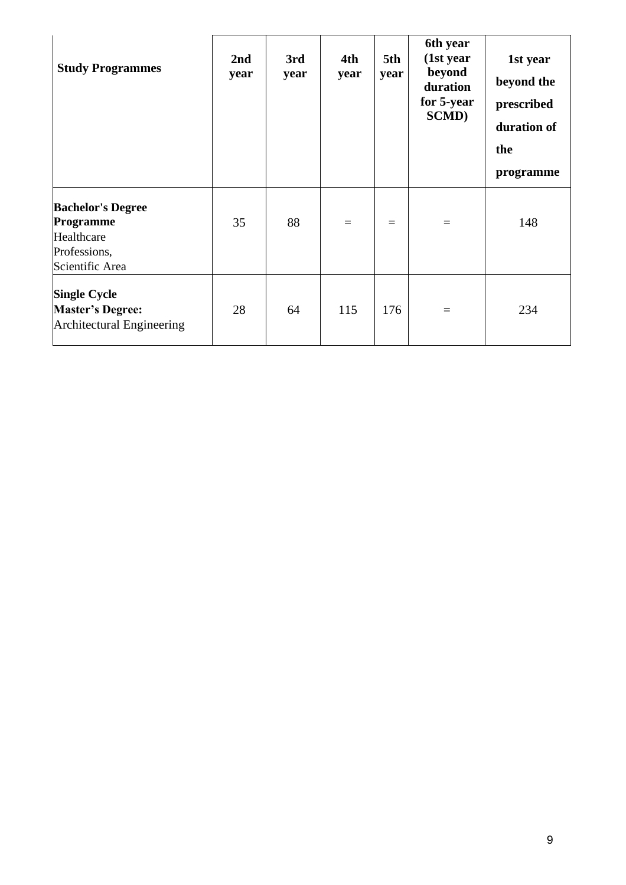| <b>Study Programmes</b>                                                                | 2nd<br>year | 3rd<br>year | 4th<br>year | 5th<br>year | 6th year<br>(1st year<br>beyond<br>duration<br>for 5-year<br><b>SCMD</b> ) | 1st year<br>beyond the<br>prescribed<br>duration of<br>the<br>programme |
|----------------------------------------------------------------------------------------|-------------|-------------|-------------|-------------|----------------------------------------------------------------------------|-------------------------------------------------------------------------|
| <b>Bachelor's Degree</b><br>Programme<br>Healthcare<br>Professions,<br>Scientific Area | 35          | 88          | $=$         | $=$         | $=$                                                                        | 148                                                                     |
| <b>Single Cycle</b><br><b>Master's Degree:</b><br>Architectural Engineering            | 28          | 64          | 115         | 176         | $\equiv$                                                                   | 234                                                                     |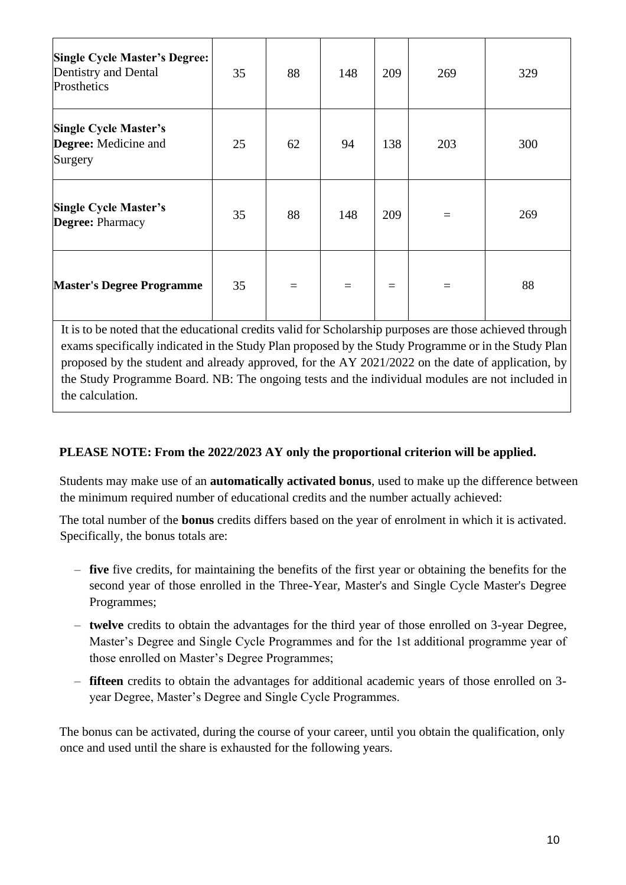| <b>Single Cycle Master's Degree:</b><br>Dentistry and Dental<br>Prosthetics | 35 | 88       | 148 | 209      | 269 | 329 |
|-----------------------------------------------------------------------------|----|----------|-----|----------|-----|-----|
| <b>Single Cycle Master's</b><br>Degree: Medicine and<br>Surgery             | 25 | 62       | 94  | 138      | 203 | 300 |
| <b>Single Cycle Master's</b><br>Degree: Pharmacy                            | 35 | 88       | 148 | 209      |     | 269 |
| <b>Master's Degree Programme</b>                                            | 35 | $\equiv$ | $=$ | $\equiv$ |     | 88  |

It is to be noted that the educational credits valid for Scholarship purposes are those achieved through exams specifically indicated in the Study Plan proposed by the Study Programme or in the Study Plan proposed by the student and already approved, for the AY 2021/2022 on the date of application, by the Study Programme Board. NB: The ongoing tests and the individual modules are not included in the calculation.

## **PLEASE NOTE: From the 2022/2023 AY only the proportional criterion will be applied.**

Students may make use of an **automatically activated bonus**, used to make up the difference between the minimum required number of educational credits and the number actually achieved:

The total number of the **bonus** credits differs based on the year of enrolment in which it is activated. Specifically, the bonus totals are:

- **five** five credits, for maintaining the benefits of the first year or obtaining the benefits for the second year of those enrolled in the Three-Year, Master's and Single Cycle Master's Degree Programmes;
- **twelve** credits to obtain the advantages for the third year of those enrolled on 3-year Degree, Master's Degree and Single Cycle Programmes and for the 1st additional programme year of those enrolled on Master's Degree Programmes;
- **fifteen** credits to obtain the advantages for additional academic years of those enrolled on 3 year Degree, Master's Degree and Single Cycle Programmes.

The bonus can be activated, during the course of your career, until you obtain the qualification, only once and used until the share is exhausted for the following years.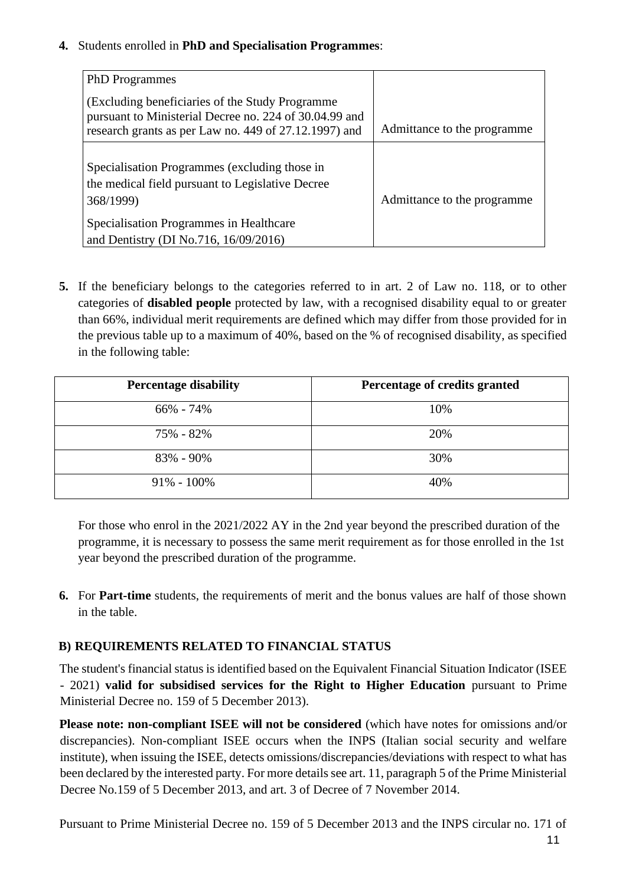#### **4.** Students enrolled in **PhD and Specialisation Programmes**:

| <b>PhD</b> Programmes                                                                                                                                                                              |                              |
|----------------------------------------------------------------------------------------------------------------------------------------------------------------------------------------------------|------------------------------|
| (Excluding beneficiaries of the Study Programme)<br>pursuant to Ministerial Decree no. 224 of 30.04.99 and<br>research grants as per Law no. 449 of 27.12.1997) and                                | Admittance to the programme. |
| Specialisation Programmes (excluding those in<br>the medical field pursuant to Legislative Decree<br>368/1999)<br>Specialisation Programmes in Healthcare<br>and Dentistry (DI No.716, 16/09/2016) | Admittance to the programme. |

**5.** If the beneficiary belongs to the categories referred to in art. 2 of Law no. 118, or to other categories of **disabled people** protected by law, with a recognised disability equal to or greater than 66%, individual merit requirements are defined which may differ from those provided for in the previous table up to a maximum of 40%, based on the % of recognised disability, as specified in the following table:

| <b>Percentage disability</b> | Percentage of credits granted |
|------------------------------|-------------------------------|
| $66\% - 74\%$                | 10%                           |
| 75% - 82%                    | 20%                           |
| 83% - 90%                    | 30%                           |
| $91\% - 100\%$               | 40%                           |

For those who enrol in the 2021/2022 AY in the 2nd year beyond the prescribed duration of the programme, it is necessary to possess the same merit requirement as for those enrolled in the 1st year beyond the prescribed duration of the programme.

**6.** For **Part-time** students, the requirements of merit and the bonus values are half of those shown in the table.

## **B) REQUIREMENTS RELATED TO FINANCIAL STATUS**

The student's financial status is identified based on the Equivalent Financial Situation Indicator (ISEE - 2021) **valid for subsidised services for the Right to Higher Education** pursuant to Prime Ministerial Decree no. 159 of 5 December 2013).

**Please note: non-compliant ISEE will not be considered** (which have notes for omissions and/or discrepancies). Non-compliant ISEE occurs when the INPS (Italian social security and welfare institute), when issuing the ISEE, detects omissions/discrepancies/deviations with respect to what has been declared by the interested party. For more details see art. 11, paragraph 5 of the Prime Ministerial Decree No.159 of 5 December 2013, and art. 3 of Decree of 7 November 2014.

11 Pursuant to Prime Ministerial Decree no. 159 of 5 December 2013 and the INPS circular no. 171 of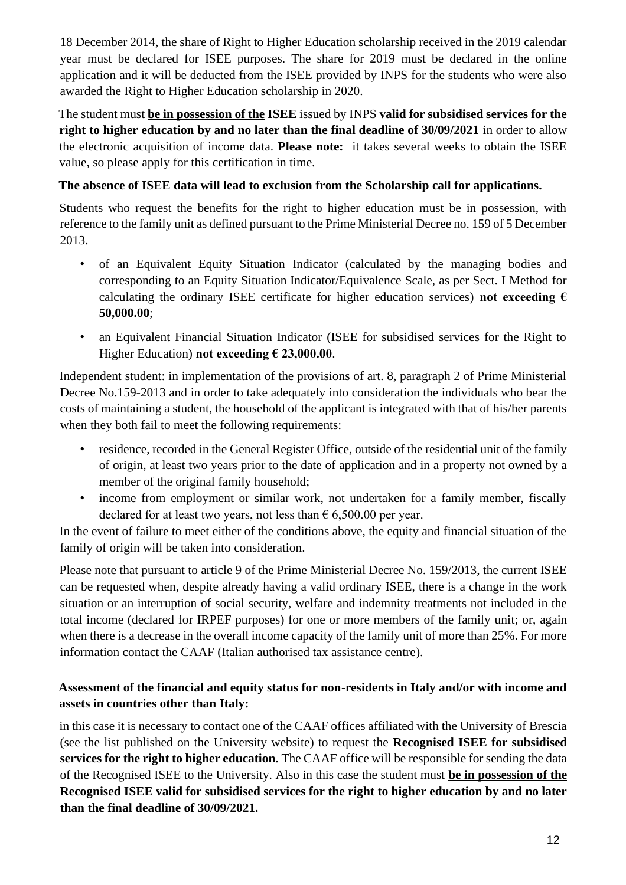18 December 2014, the share of Right to Higher Education scholarship received in the 2019 calendar year must be declared for ISEE purposes. The share for 2019 must be declared in the online application and it will be deducted from the ISEE provided by INPS for the students who were also awarded the Right to Higher Education scholarship in 2020.

The student must **be in possession of the ISEE** issued by INPS **valid for subsidised services for the right to higher education by and no later than the final deadline of 30/09/2021** in order to allow the electronic acquisition of income data. **Please note:** it takes several weeks to obtain the ISEE value, so please apply for this certification in time.

## **The absence of ISEE data will lead to exclusion from the Scholarship call for applications.**

Students who request the benefits for the right to higher education must be in possession, with reference to the family unit as defined pursuant to the Prime Ministerial Decree no. 159 of 5 December 2013.

- of an Equivalent Equity Situation Indicator (calculated by the managing bodies and corresponding to an Equity Situation Indicator/Equivalence Scale, as per Sect. I Method for calculating the ordinary ISEE certificate for higher education services) **not exceeding**  $\epsilon$ **50,000.00**;
- an Equivalent Financial Situation Indicator (ISEE for subsidised services for the Right to Higher Education) **not exceeding € 23,000.00**.

Independent student: in implementation of the provisions of art. 8, paragraph 2 of Prime Ministerial Decree No.159-2013 and in order to take adequately into consideration the individuals who bear the costs of maintaining a student, the household of the applicant is integrated with that of his/her parents when they both fail to meet the following requirements:

- residence, recorded in the General Register Office, outside of the residential unit of the family of origin, at least two years prior to the date of application and in a property not owned by a member of the original family household;
- income from employment or similar work, not undertaken for a family member, fiscally declared for at least two years, not less than  $\epsilon$  6,500.00 per year.

In the event of failure to meet either of the conditions above, the equity and financial situation of the family of origin will be taken into consideration.

Please note that pursuant to article 9 of the Prime Ministerial Decree No. 159/2013, the current ISEE can be requested when, despite already having a valid ordinary ISEE, there is a change in the work situation or an interruption of social security, welfare and indemnity treatments not included in the total income (declared for IRPEF purposes) for one or more members of the family unit; or, again when there is a decrease in the overall income capacity of the family unit of more than 25%. For more information contact the CAAF (Italian authorised tax assistance centre).

## **Assessment of the financial and equity status for non-residents in Italy and/or with income and assets in countries other than Italy:**

in this case it is necessary to contact one of the CAAF offices affiliated with the University of Brescia (see the list published on the University website) to request the **Recognised ISEE for subsidised services for the right to higher education.** The CAAF office will be responsible for sending the data of the Recognised ISEE to the University. Also in this case the student must **be in possession of the Recognised ISEE valid for subsidised services for the right to higher education by and no later than the final deadline of 30/09/2021.**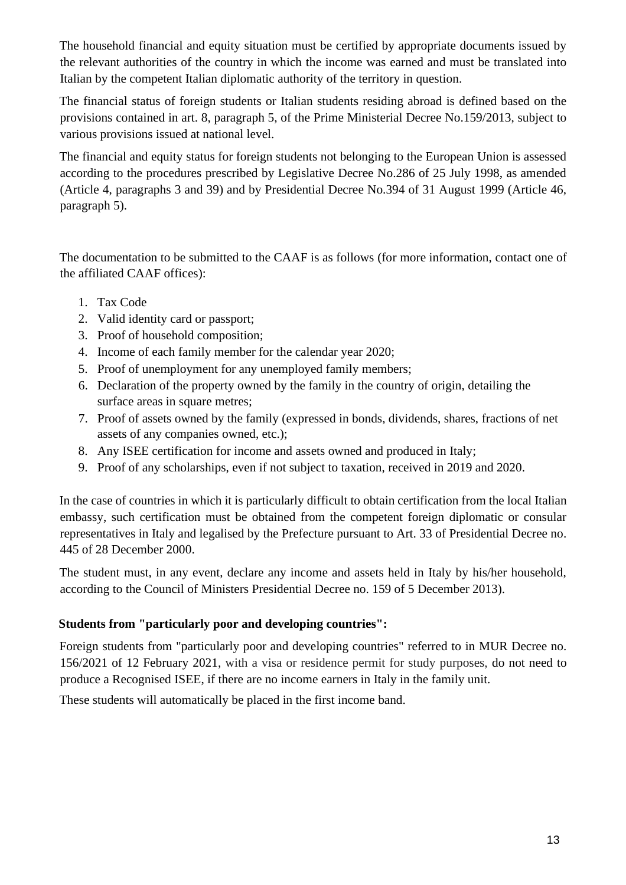The household financial and equity situation must be certified by appropriate documents issued by the relevant authorities of the country in which the income was earned and must be translated into Italian by the competent Italian diplomatic authority of the territory in question.

The financial status of foreign students or Italian students residing abroad is defined based on the provisions contained in art. 8, paragraph 5, of the Prime Ministerial Decree No.159/2013, subject to various provisions issued at national level.

The financial and equity status for foreign students not belonging to the European Union is assessed according to the procedures prescribed by Legislative Decree No.286 of 25 July 1998, as amended (Article 4, paragraphs 3 and 39) and by Presidential Decree No.394 of 31 August 1999 (Article 46, paragraph 5).

The documentation to be submitted to the CAAF is as follows (for more information, contact one of the affiliated CAAF offices):

- 1. Tax Code
- 2. Valid identity card or passport;
- 3. Proof of household composition;
- 4. Income of each family member for the calendar year 2020;
- 5. Proof of unemployment for any unemployed family members;
- 6. Declaration of the property owned by the family in the country of origin, detailing the surface areas in square metres;
- 7. Proof of assets owned by the family (expressed in bonds, dividends, shares, fractions of net assets of any companies owned, etc.);
- 8. Any ISEE certification for income and assets owned and produced in Italy;
- 9. Proof of any scholarships, even if not subject to taxation, received in 2019 and 2020.

In the case of countries in which it is particularly difficult to obtain certification from the local Italian embassy, such certification must be obtained from the competent foreign diplomatic or consular representatives in Italy and legalised by the Prefecture pursuant to Art. 33 of Presidential Decree no. 445 of 28 December 2000.

The student must, in any event, declare any income and assets held in Italy by his/her household, according to the Council of Ministers Presidential Decree no. 159 of 5 December 2013).

## **Students from "particularly poor and developing countries":**

Foreign students from "particularly poor and developing countries" referred to in MUR Decree no. 156/2021 of 12 February 2021, with a visa or residence permit for study purposes, do not need to produce a Recognised ISEE, if there are no income earners in Italy in the family unit.

These students will automatically be placed in the first income band.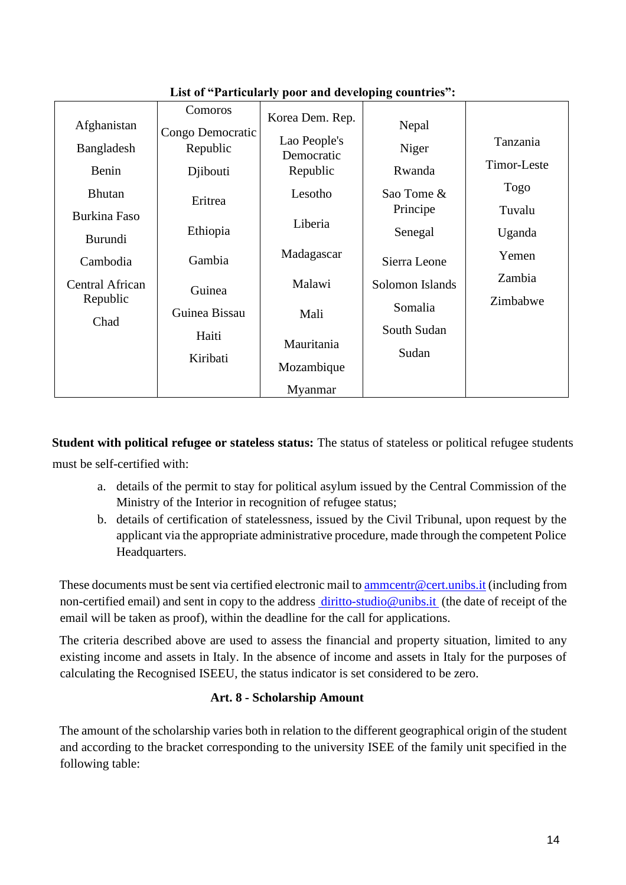| Afghanistan<br>Bangladesh          | Comoros<br>Congo Democratic<br>Republic | Korea Dem. Rep.<br>Lao People's<br>Democratic | Nepal<br>Niger         | Tanzania<br>Timor-Leste |
|------------------------------------|-----------------------------------------|-----------------------------------------------|------------------------|-------------------------|
| Benin                              | Djibouti                                | Republic                                      | Rwanda                 | <b>Togo</b>             |
| <b>Bhutan</b><br>Burkina Faso      | Eritrea                                 | Lesotho                                       | Sao Tome &<br>Principe | Tuvalu                  |
| Burundi                            | Ethiopia                                | Liberia                                       | Senegal                | Uganda                  |
| Cambodia                           | Gambia                                  | Madagascar                                    | Sierra Leone           | Yemen                   |
| <b>Central African</b><br>Republic | Guinea                                  | Malawi                                        | Solomon Islands        | Zambia                  |
| Chad                               | Guinea Bissau                           | Mali                                          | Somalia                | Zimbabwe                |
|                                    | Haiti<br>Kiribati                       | Mauritania<br>Mozambique                      | South Sudan<br>Sudan   |                         |
|                                    |                                         | Myanmar                                       |                        |                         |

## **List of "Particularly poor and developing countries":**

**Student with political refugee or stateless status:** The status of stateless or political refugee students must be self-certified with:

- a. details of the permit to stay for political asylum issued by the Central Commission of the Ministry of the Interior in recognition of refugee status;
- b. details of certification of statelessness, issued by the Civil Tribunal, upon request by the applicant via the appropriate administrative procedure, made through the competent Police Headquarters.

These documents must be sent via certified electronic mail t[o ammcentr@cert.unibs.it](mailto:ammcentr@cert.unibs.it) (including from non-certified email) and sent in copy to the address diritto-studio@unibs.it (the date of receipt of the email will be taken as proof), within the deadline for the call for applications.

The criteria described above are used to assess the financial and property situation, limited to any existing income and assets in Italy. In the absence of income and assets in Italy for the purposes of calculating the Recognised ISEEU, the status indicator is set considered to be zero.

## **Art. 8 - Scholarship Amount**

The amount of the scholarship varies both in relation to the different geographical origin of the student and according to the bracket corresponding to the university ISEE of the family unit specified in the following table: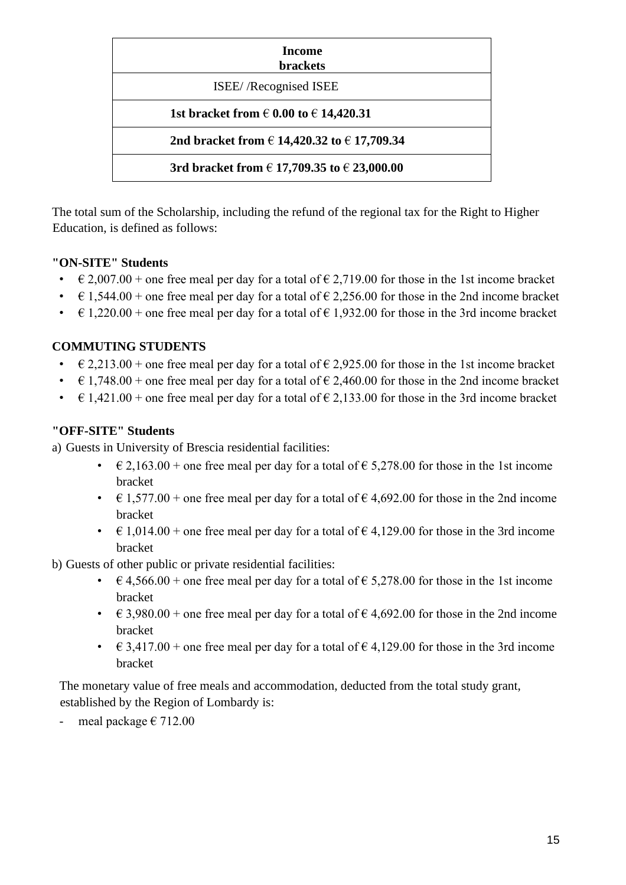| <b>Income</b><br><b>brackets</b>                    |  |  |  |
|-----------------------------------------------------|--|--|--|
| ISEE//Recognised ISEE                               |  |  |  |
| 1st bracket from $\in 0.00$ to $\in 14,420.31$      |  |  |  |
| 2nd bracket from € 14,420.32 to € 17,709.34         |  |  |  |
| 3rd bracket from $\in$ 17,709.35 to $\in$ 23,000.00 |  |  |  |

The total sum of the Scholarship, including the refund of the regional tax for the Right to Higher Education, is defined as follows:

## **"ON-SITE" Students**

- $\in$  2,007.00 + one free meal per day for a total of  $\in$  2,719.00 for those in the 1st income bracket
- $\epsilon$  1,544.00 + one free meal per day for a total of  $\epsilon$  2,256.00 for those in the 2nd income bracket
- $\epsilon$  1,220.00 + one free meal per day for a total of  $\epsilon$  1,932.00 for those in the 3rd income bracket

#### **COMMUTING STUDENTS**

- $\in$  2,213.00 + one free meal per day for a total of  $\in$  2,925.00 for those in the 1st income bracket
- $\epsilon$  1,748.00 + one free meal per day for a total of  $\epsilon$  2,460.00 for those in the 2nd income bracket
- $\in$  1,421.00 + one free meal per day for a total of  $\in$  2,133.00 for those in the 3rd income bracket

#### **"OFF-SITE" Students**

- a) Guests in University of Brescia residential facilities:
	- $\epsilon$  2,163.00 + one free meal per day for a total of  $\epsilon$  5,278.00 for those in the 1st income bracket
	- $\in$  1,577.00 + one free meal per day for a total of  $\in$  4,692.00 for those in the 2nd income bracket
	- $\in$  1,014.00 + one free meal per day for a total of  $\in$  4,129.00 for those in the 3rd income bracket
- b) Guests of other public or private residential facilities:
	- $\in$  4,566.00 + one free meal per day for a total of  $\in$  5,278.00 for those in the 1st income bracket
	- $\in$  3,980.00 + one free meal per day for a total of  $\in$  4,692.00 for those in the 2nd income bracket
	- $\in$  3,417.00 + one free meal per day for a total of  $\in$  4,129.00 for those in the 3rd income bracket

The monetary value of free meals and accommodation, deducted from the total study grant, established by the Region of Lombardy is:

meal package  $\epsilon$  712.00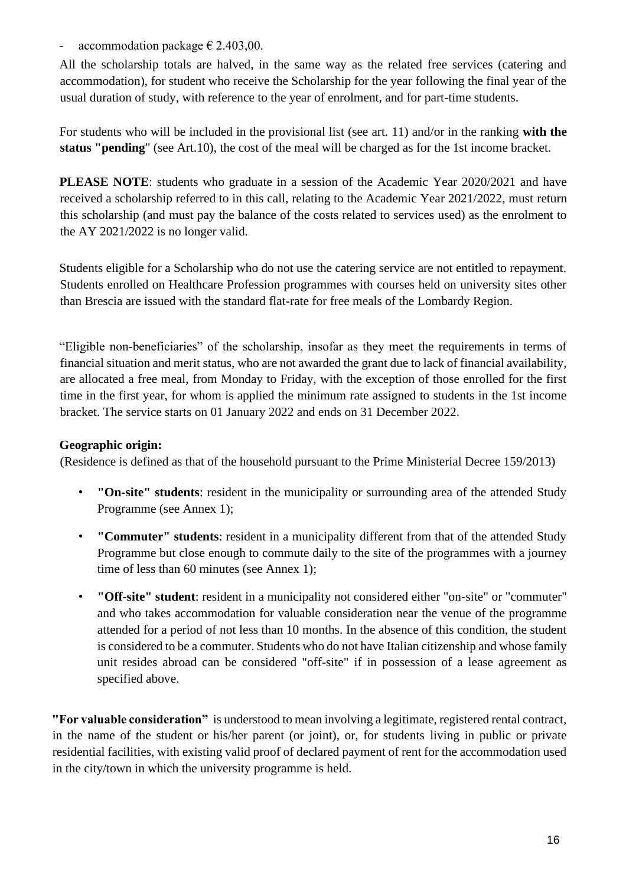- accommodation package  $\epsilon$  2.403,00.

All the scholarship totals are halved, in the same way as the related free services (catering and accommodation), for student who receive the Scholarship for the year following the final year of the usual duration of study, with reference to the year of enrolment, and for part-time students.

For students who will be included in the provisional list (see art. 11) and/or in the ranking **with the status "pending**" (see Art.10), the cost of the meal will be charged as for the 1st income bracket.

**PLEASE NOTE:** students who graduate in a session of the Academic Year 2020/2021 and have received a scholarship referred to in this call, relating to the Academic Year 2021/2022, must return this scholarship (and must pay the balance of the costs related to services used) as the enrolment to the AY 2021/2022 is no longer valid.

Students eligible for a Scholarship who do not use the catering service are not entitled to repayment. Students enrolled on Healthcare Profession programmes with courses held on university sites other than Brescia are issued with the standard flat-rate for free meals of the Lombardy Region.

"Eligible non-beneficiaries" of the scholarship, insofar as they meet the requirements in terms of financial situation and merit status, who are not awarded the grant due to lack of financial availability, are allocated a free meal, from Monday to Friday, with the exception of those enrolled for the first time in the first year, for whom is applied the minimum rate assigned to students in the 1st income bracket. The service starts on 01 January 2022 and ends on 31 December 2022.

#### **Geographic origin:**

(Residence is defined as that of the household pursuant to the Prime Ministerial Decree 159/2013)

- **"On-site" students**: resident in the municipality or surrounding area of the attended Study Programme (see Annex 1);
- **"Commuter" students**: resident in a municipality different from that of the attended Study Programme but close enough to commute daily to the site of the programmes with a journey time of less than 60 minutes (see Annex 1);
- **"Off-site" student**: resident in a municipality not considered either "on-site" or "commuter" and who takes accommodation for valuable consideration near the venue of the programme attended for a period of not less than 10 months. In the absence of this condition, the student is considered to be a commuter. Students who do not have Italian citizenship and whose family unit resides abroad can be considered "off-site" if in possession of a lease agreement as specified above.

**"For valuable consideration"** is understood to mean involving a legitimate, registered rental contract, in the name of the student or his/her parent (or joint), or, for students living in public or private residential facilities, with existing valid proof of declared payment of rent for the accommodation used in the city/town in which the university programme is held.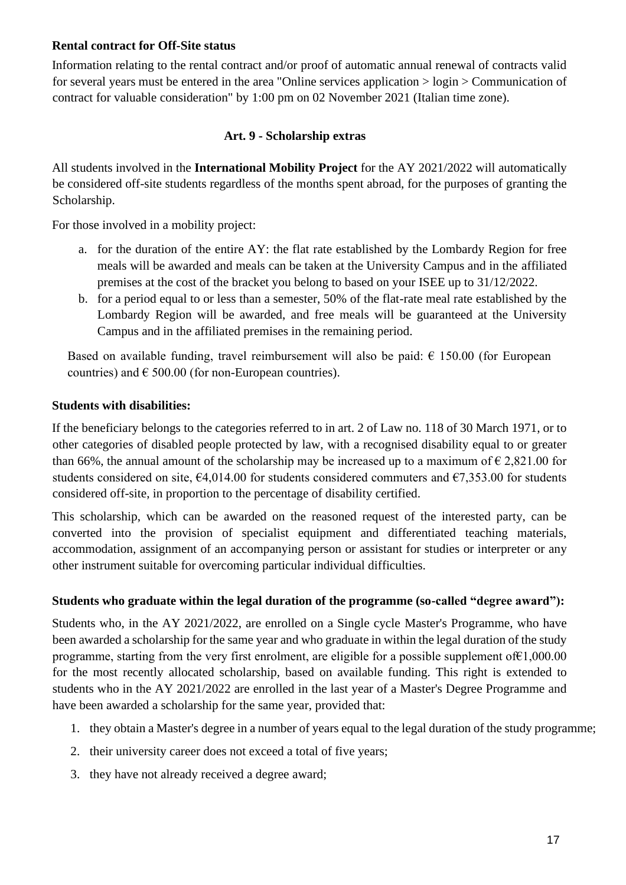#### **Rental contract for Off-Site status**

Information relating to the rental contract and/or proof of automatic annual renewal of contracts valid for several years must be entered in the area "Online services application > login > Communication of contract for valuable consideration" by 1:00 pm on 02 November 2021 (Italian time zone).

#### **Art. 9 - Scholarship extras**

All students involved in the **International Mobility Project** for the AY 2021/2022 will automatically be considered off-site students regardless of the months spent abroad, for the purposes of granting the Scholarship.

For those involved in a mobility project:

- a. for the duration of the entire AY: the flat rate established by the Lombardy Region for free meals will be awarded and meals can be taken at the University Campus and in the affiliated premises at the cost of the bracket you belong to based on your ISEE up to 31/12/2022.
- b. for a period equal to or less than a semester, 50% of the flat-rate meal rate established by the Lombardy Region will be awarded, and free meals will be guaranteed at the University Campus and in the affiliated premises in the remaining period.

Based on available funding, travel reimbursement will also be paid:  $\epsilon$  150.00 (for European countries) and  $\epsilon$  500.00 (for non-European countries).

#### **Students with disabilities:**

If the beneficiary belongs to the categories referred to in art. 2 of Law no. 118 of 30 March 1971, or to other categories of disabled people protected by law, with a recognised disability equal to or greater than 66%, the annual amount of the scholarship may be increased up to a maximum of  $\epsilon$  2,821.00 for students considered on site,  $64,014.00$  for students considered commuters and  $67,353.00$  for students considered off-site, in proportion to the percentage of disability certified.

This scholarship, which can be awarded on the reasoned request of the interested party, can be converted into the provision of specialist equipment and differentiated teaching materials, accommodation, assignment of an accompanying person or assistant for studies or interpreter or any other instrument suitable for overcoming particular individual difficulties.

#### **Students who graduate within the legal duration of the programme (so-called "degree award"):**

Students who, in the AY 2021/2022, are enrolled on a Single cycle Master's Programme, who have been awarded a scholarship for the same year and who graduate in within the legal duration of the study programme, starting from the very first enrolment, are eligible for a possible supplement of€1,000.00 for the most recently allocated scholarship, based on available funding. This right is extended to students who in the AY 2021/2022 are enrolled in the last year of a Master's Degree Programme and have been awarded a scholarship for the same year, provided that:

- 1. they obtain a Master's degree in a number of years equal to the legal duration of the study programme;
- 2. their university career does not exceed a total of five years;
- 3. they have not already received a degree award;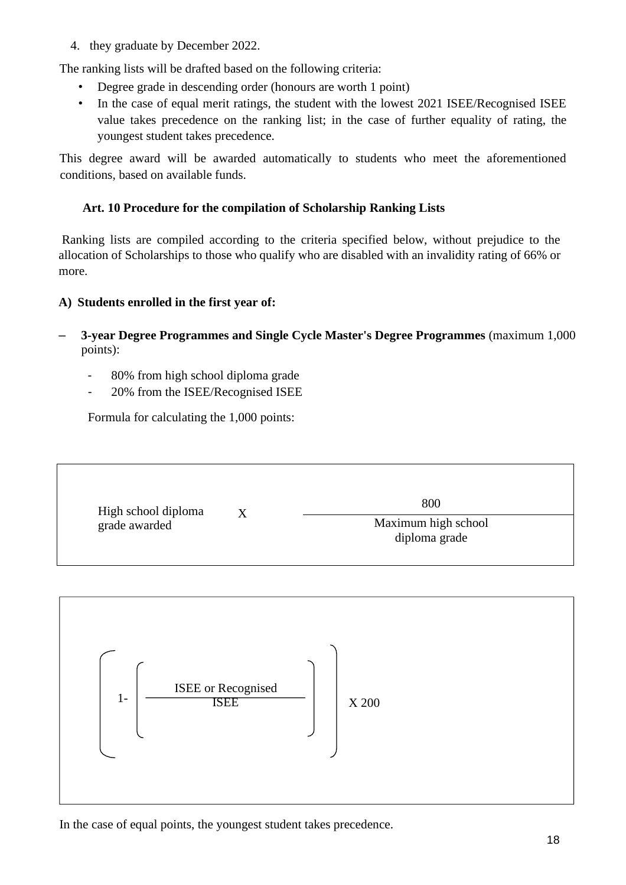4. they graduate by December 2022.

The ranking lists will be drafted based on the following criteria:

- Degree grade in descending order (honours are worth 1 point)
- In the case of equal merit ratings, the student with the lowest 2021 ISEE/Recognised ISEE value takes precedence on the ranking list; in the case of further equality of rating, the youngest student takes precedence.

This degree award will be awarded automatically to students who meet the aforementioned conditions, based on available funds.

#### **Art. 10 Procedure for the compilation of Scholarship Ranking Lists**

Ranking lists are compiled according to the criteria specified below, without prejudice to the allocation of Scholarships to those who qualify who are disabled with an invalidity rating of 66% or more.

#### **A) Students enrolled in the first year of:**

- **3-year Degree Programmes and Single Cycle Master's Degree Programmes** (maximum 1,000 points):
	- 80% from high school diploma grade
	- 20% from the ISEE/Recognised ISEE

Formula for calculating the 1,000 points:

| High school diploma | 800                 |
|---------------------|---------------------|
| X                   | Maximum high school |
| grade awarded       | diploma grade       |



In the case of equal points, the youngest student takes precedence.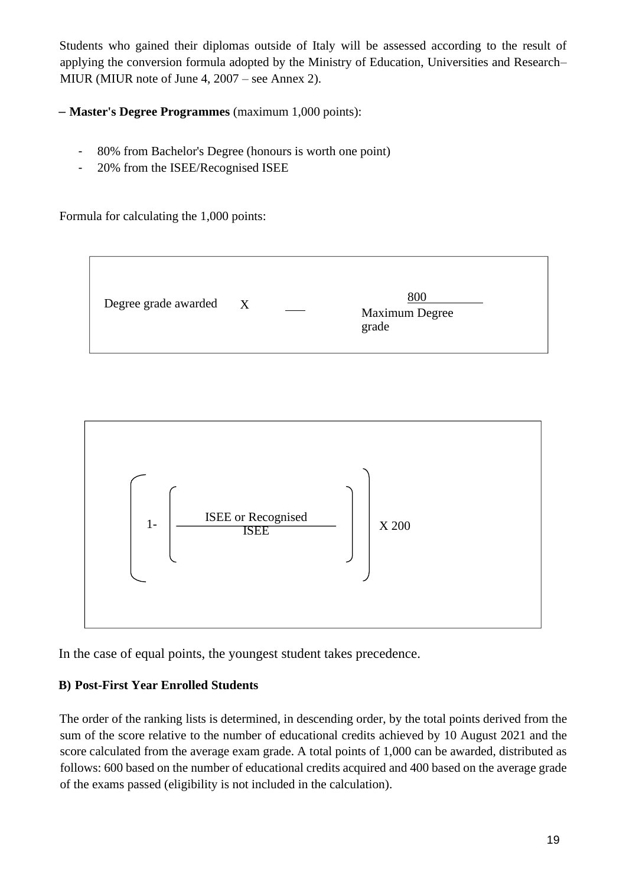Students who gained their diplomas outside of Italy will be assessed according to the result of applying the conversion formula adopted by the Ministry of Education, Universities and Research– MIUR (MIUR note of June 4, 2007 – see Annex 2).

– **Master's Degree Programmes** (maximum 1,000 points):

- 80% from Bachelor's Degree (honours is worth one point)
- 20% from the ISEE/Recognised ISEE

Formula for calculating the 1,000 points:





In the case of equal points, the youngest student takes precedence.

## **B) Post-First Year Enrolled Students**

The order of the ranking lists is determined, in descending order, by the total points derived from the sum of the score relative to the number of educational credits achieved by 10 August 2021 and the score calculated from the average exam grade. A total points of 1,000 can be awarded, distributed as follows: 600 based on the number of educational credits acquired and 400 based on the average grade of the exams passed (eligibility is not included in the calculation).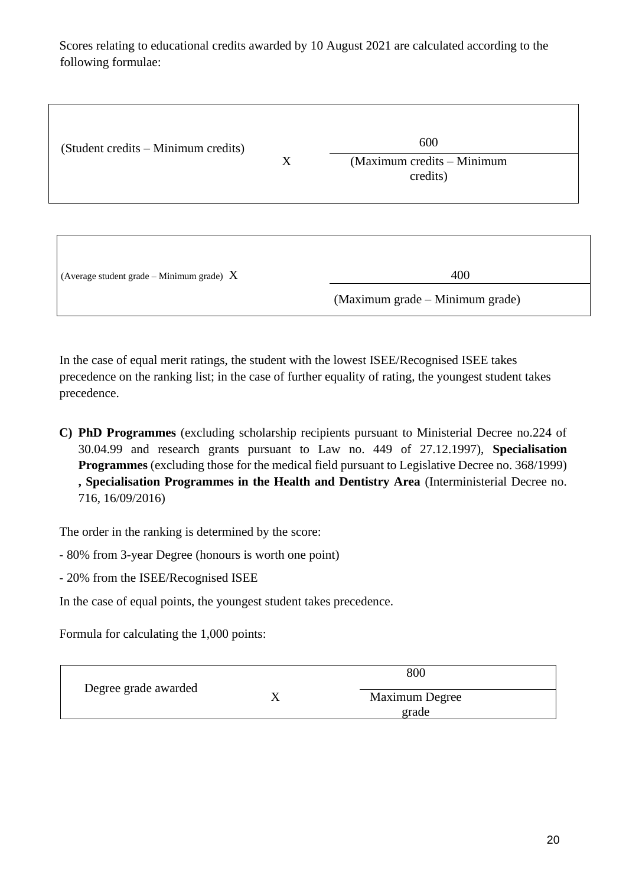Scores relating to educational credits awarded by 10 August 2021 are calculated according to the following formulae:

| (Student credits – Minimum credits)         | X | 600<br>(Maximum credits – Minimum<br>credits) |  |
|---------------------------------------------|---|-----------------------------------------------|--|
| (Average student grade – Minimum grade) $X$ |   | 400<br>(Maximum grade – Minimum grade)        |  |

In the case of equal merit ratings, the student with the lowest ISEE/Recognised ISEE takes precedence on the ranking list; in the case of further equality of rating, the youngest student takes precedence.

**C) PhD Programmes** (excluding scholarship recipients pursuant to Ministerial Decree no.224 of 30.04.99 and research grants pursuant to Law no. 449 of 27.12.1997), **Specialisation Programmes** (excluding those for the medical field pursuant to Legislative Decree no. 368/1999) **, Specialisation Programmes in the Health and Dentistry Area** (Interministerial Decree no. 716, 16/09/2016)

The order in the ranking is determined by the score:

- 80% from 3-year Degree (honours is worth one point)
- 20% from the ISEE/Recognised ISEE

In the case of equal points, the youngest student takes precedence.

Formula for calculating the 1,000 points:

|                      | 800 |                |  |
|----------------------|-----|----------------|--|
| Degree grade awarded | ∡   | Maximum Degree |  |
|                      |     | grade          |  |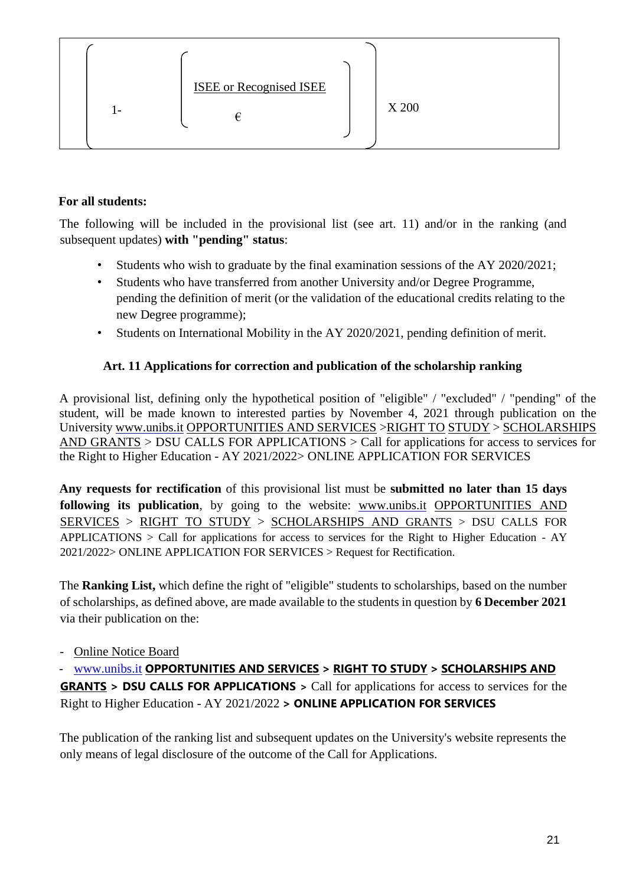| ı — | <b>ISEE</b> or Recognised ISEE | X 200 |
|-----|--------------------------------|-------|

#### **For all students:**

The following will be included in the provisional list (see art. 11) and/or in the ranking (and subsequent updates) **with "pending" status**:

- Students who wish to graduate by the final examination sessions of the AY 2020/2021;
- Students who have transferred from another University and/or Degree Programme, pending the definition of merit (or the validation of the educational credits relating to the new Degree programme);
- Students on International Mobility in the AY 2020/2021, pending definition of merit.

## **Art. 11 Applications for correction and publication of the scholarship ranking**

A provisional list, defining only the hypothetical position of "eligible" / "excluded" / "pending" of the student, will be made known to interested parties by November 4, 2021 through publication on the University www.unibs.it [OPPORTUNITIES AND SERVICES](https://www.unibs.it/it/opportunita-e-servizi) [>RIGHT TO](https://www.unibs.it/it/opportunita-e-servizi/diritto-allo-studio) [STUDY](https://www.unibs.it/it/opportunita-e-servizi/diritto-allo-studio) > [SCHOLARSHIPS](https://www.unibs.it/it/opportunita-e-servizi/diritto-allo-studio/borse-di-studio-e-premi)  [AND GRANTS](https://www.unibs.it/it/opportunita-e-servizi/diritto-allo-studio/borse-di-studio-e-premi) > DSU CALLS FOR APPLICATIONS > Call for applications for access to services for the Right to Higher Education - AY 2021/2022> ONLINE APPLICATION FOR SERVICES

**Any requests for rectification** of this provisional list must be **submitted no later than 15 days following its publication**, by going to the website: [www.unibs.it](http://en.unibs.it/) [OPPORTUNITIES AND](https://www.unibs.it/it/opportunita-e-servizi)  [SERVICES](https://www.unibs.it/it/opportunita-e-servizi) > [RIGHT TO STUDY](https://www.unibs.it/it/opportunita-e-servizi/diritto-allo-studio) > [SCHOLARSHIPS AND](https://www.unibs.it/it/opportunita-e-servizi/diritto-allo-studio/borse-di-studio-e-premi) [GRANTS](https://www.unibs.it/it/opportunita-e-servizi/diritto-allo-studio/borse-di-studio-e-premi) > DSU CALLS FOR APPLICATIONS > Call for applications for access to services for the Right to Higher Education - AY 2021/2022> ONLINE APPLICATION FOR SERVICES > Request for Rectification.

The **Ranking List,** which define the right of "eligible" students to scholarships, based on the number of scholarships, as defined above, are made available to the students in question by **6 December 2021** via their publication on the:

- [Online Notice Board](https://titulus-unibrescia.cineca.it/albo/)
- [www.unibs.it](http://www.unibs.it/) **[OPPORTUNITIES AND SERVICES](https://www.unibs.it/it/opportunita-e-servizi) > [RIGHT TO STUDY](https://www.unibs.it/it/opportunita-e-servizi/diritto-allo-studio) > [SCHOLARSHIPS AND](https://www.unibs.it/it/opportunita-e-servizi/diritto-allo-studio/borse-di-studio-e-premi)**

**[GRANTS](https://www.unibs.it/it/opportunita-e-servizi/diritto-allo-studio/borse-di-studio-e-premi) > DSU CALLS FOR APPLICATIONS >** Call for applications for access to services for the Right to Higher Education - AY 2021/2022 **> ONLINE APPLICATION FOR SERVICES**

The publication of the ranking list and subsequent updates on the University's website represents the only means of legal disclosure of the outcome of the Call for Applications.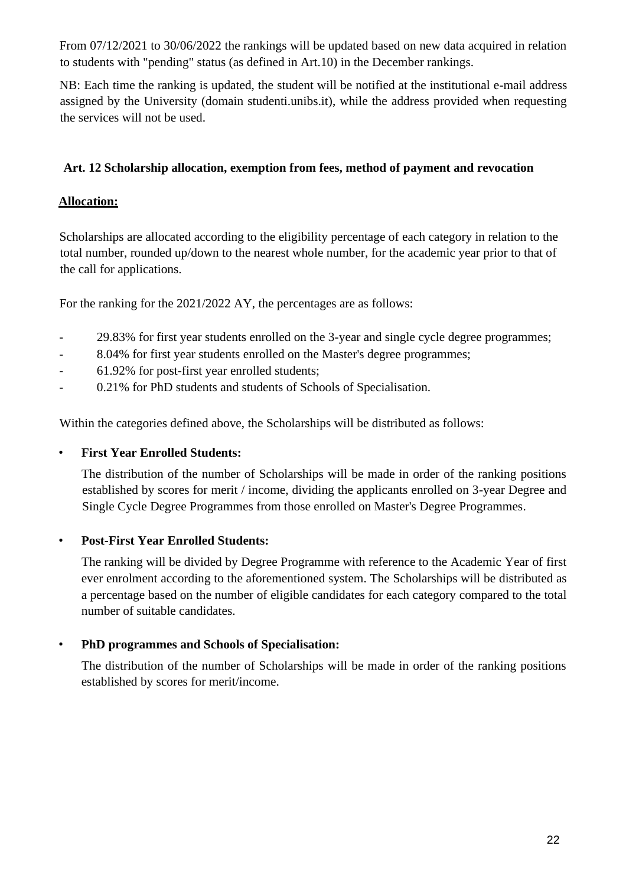From 07/12/2021 to 30/06/2022 the rankings will be updated based on new data acquired in relation to students with "pending" status (as defined in Art.10) in the December rankings.

NB: Each time the ranking is updated, the student will be notified at the institutional e-mail address assigned by the University (domain studenti.unibs.it), while the address provided when requesting the services will not be used.

## **Art. 12 Scholarship allocation, exemption from fees, method of payment and revocation**

#### **Allocation:**

Scholarships are allocated according to the eligibility percentage of each category in relation to the total number, rounded up/down to the nearest whole number, for the academic year prior to that of the call for applications.

For the ranking for the 2021/2022 AY, the percentages are as follows:

- 29.83% for first year students enrolled on the 3-year and single cycle degree programmes;
- 8.04% for first year students enrolled on the Master's degree programmes;
- 61.92% for post-first year enrolled students;
- 0.21% for PhD students and students of Schools of Specialisation.

Within the categories defined above, the Scholarships will be distributed as follows:

#### • **First Year Enrolled Students:**

The distribution of the number of Scholarships will be made in order of the ranking positions established by scores for merit / income, dividing the applicants enrolled on 3-year Degree and Single Cycle Degree Programmes from those enrolled on Master's Degree Programmes.

#### • **Post-First Year Enrolled Students:**

The ranking will be divided by Degree Programme with reference to the Academic Year of first ever enrolment according to the aforementioned system. The Scholarships will be distributed as a percentage based on the number of eligible candidates for each category compared to the total number of suitable candidates.

#### • **PhD programmes and Schools of Specialisation:**

The distribution of the number of Scholarships will be made in order of the ranking positions established by scores for merit/income.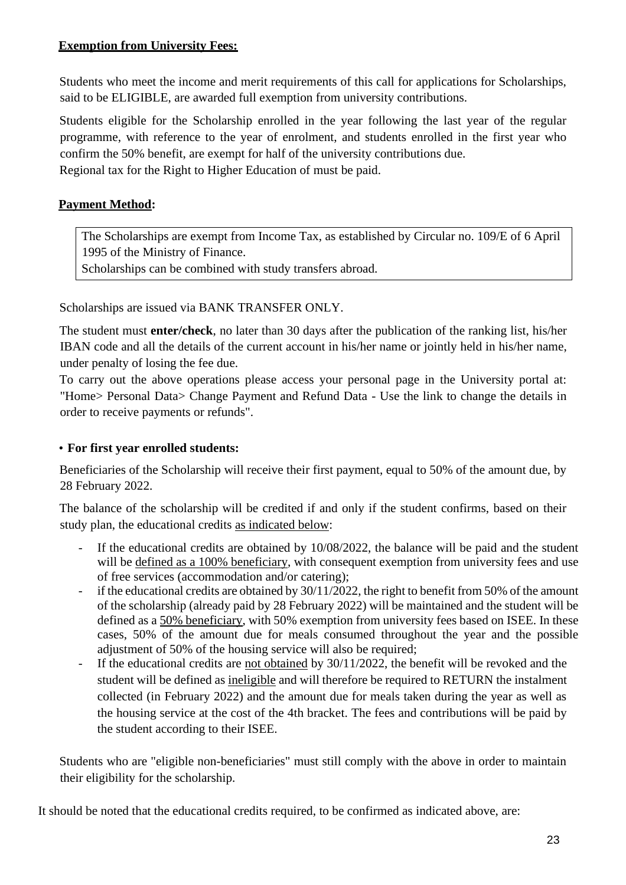#### **Exemption from University Fees:**

Students who meet the income and merit requirements of this call for applications for Scholarships, said to be ELIGIBLE, are awarded full exemption from university contributions.

Students eligible for the Scholarship enrolled in the year following the last year of the regular programme, with reference to the year of enrolment, and students enrolled in the first year who confirm the 50% benefit, are exempt for half of the university contributions due. Regional tax for the Right to Higher Education of must be paid.

## **Payment Method:**

The Scholarships are exempt from Income Tax, as established by Circular no. 109/E of 6 April 1995 of the Ministry of Finance.

Scholarships can be combined with study transfers abroad.

Scholarships are issued via BANK TRANSFER ONLY.

The student must **enter/check**, no later than 30 days after the publication of the ranking list, his/her IBAN code and all the details of the current account in his/her name or jointly held in his/her name, under penalty of losing the fee due.

To carry out the above operations please access your personal page in the University portal at: "Home> Personal Data> Change Payment and Refund Data - Use the link to change the details in order to receive payments or refunds".

#### • **For first year enrolled students:**

Beneficiaries of the Scholarship will receive their first payment, equal to 50% of the amount due, by 28 February 2022.

The balance of the scholarship will be credited if and only if the student confirms, based on their study plan, the educational credits as indicated below:

- If the educational credits are obtained by  $10/08/2022$ , the balance will be paid and the student will be defined as a 100% beneficiary, with consequent exemption from university fees and use of free services (accommodation and/or catering);
- if the educational credits are obtained by  $30/11/2022$ , the right to benefit from 50% of the amount of the scholarship (already paid by 28 February 2022) will be maintained and the student will be defined as a 50% beneficiary, with 50% exemption from university fees based on ISEE. In these cases, 50% of the amount due for meals consumed throughout the year and the possible adjustment of 50% of the housing service will also be required;
- If the educational credits are not obtained by 30/11/2022, the benefit will be revoked and the student will be defined as ineligible and will therefore be required to RETURN the instalment collected (in February 2022) and the amount due for meals taken during the year as well as the housing service at the cost of the 4th bracket. The fees and contributions will be paid by the student according to their ISEE.

Students who are "eligible non-beneficiaries" must still comply with the above in order to maintain their eligibility for the scholarship.

It should be noted that the educational credits required, to be confirmed as indicated above, are: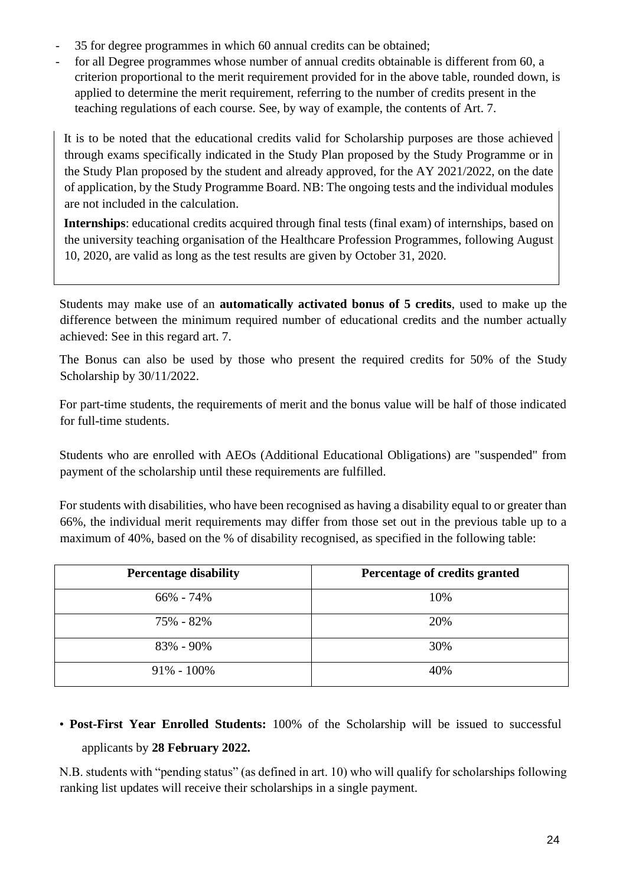- 35 for degree programmes in which 60 annual credits can be obtained;
- for all Degree programmes whose number of annual credits obtainable is different from 60, a criterion proportional to the merit requirement provided for in the above table, rounded down, is applied to determine the merit requirement, referring to the number of credits present in the teaching regulations of each course. See, by way of example, the contents of Art. 7.

It is to be noted that the educational credits valid for Scholarship purposes are those achieved through exams specifically indicated in the Study Plan proposed by the Study Programme or in the Study Plan proposed by the student and already approved, for the AY 2021/2022, on the date of application, by the Study Programme Board. NB: The ongoing tests and the individual modules are not included in the calculation.

**Internships**: educational credits acquired through final tests (final exam) of internships, based on the university teaching organisation of the Healthcare Profession Programmes, following August 10, 2020, are valid as long as the test results are given by October 31, 2020.

Students may make use of an **automatically activated bonus of 5 credits**, used to make up the difference between the minimum required number of educational credits and the number actually achieved: See in this regard art. 7.

The Bonus can also be used by those who present the required credits for 50% of the Study Scholarship by 30/11/2022.

For part-time students, the requirements of merit and the bonus value will be half of those indicated for full-time students.

Students who are enrolled with AEOs (Additional Educational Obligations) are "suspended" from payment of the scholarship until these requirements are fulfilled.

For students with disabilities, who have been recognised as having a disability equal to or greater than 66%, the individual merit requirements may differ from those set out in the previous table up to a maximum of 40%, based on the % of disability recognised, as specified in the following table:

| <b>Percentage disability</b> | Percentage of credits granted |
|------------------------------|-------------------------------|
| $66\% - 74\%$                | 10%                           |
| 75% - 82%                    | 20%                           |
| 83% - 90%                    | 30%                           |
| $91\% - 100\%$               | 40%                           |

## • **Post-First Year Enrolled Students:** 100% of the Scholarship will be issued to successful applicants by **28 February 2022.**

N.B. students with "pending status" (as defined in art. 10) who will qualify for scholarships following ranking list updates will receive their scholarships in a single payment.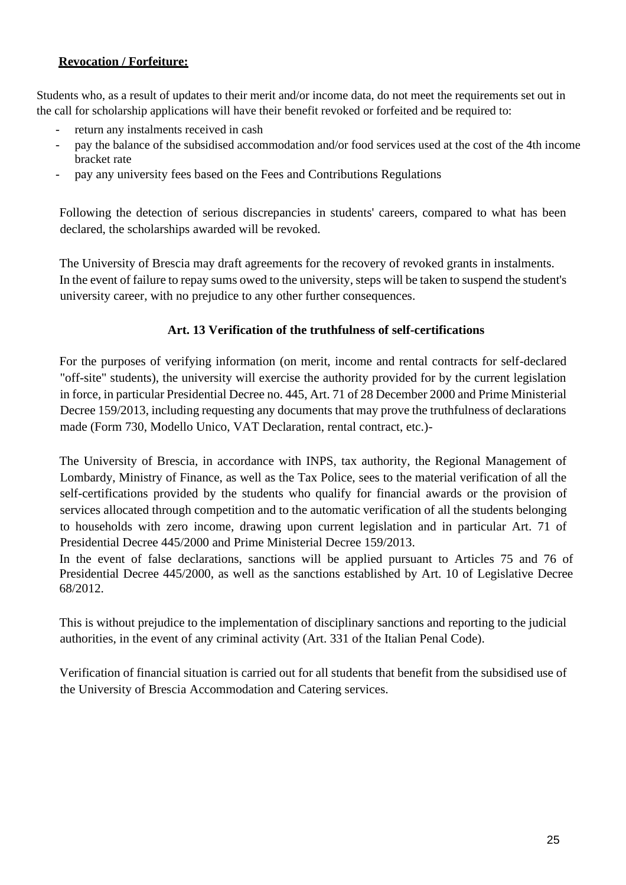## **Revocation / Forfeiture:**

Students who, as a result of updates to their merit and/or income data, do not meet the requirements set out in the call for scholarship applications will have their benefit revoked or forfeited and be required to:

- return any instalments received in cash
- pay the balance of the subsidised accommodation and/or food services used at the cost of the 4th income bracket rate
- pay any university fees based on the Fees and Contributions Regulations

Following the detection of serious discrepancies in students' careers, compared to what has been declared, the scholarships awarded will be revoked.

The University of Brescia may draft agreements for the recovery of revoked grants in instalments. In the event of failure to repay sums owed to the university, steps will be taken to suspend the student's university career, with no prejudice to any other further consequences.

## **Art. 13 Verification of the truthfulness of self-certifications**

For the purposes of verifying information (on merit, income and rental contracts for self-declared "off-site" students), the university will exercise the authority provided for by the current legislation in force, in particular Presidential Decree no. 445, Art. 71 of 28 December 2000 and Prime Ministerial Decree 159/2013, including requesting any documents that may prove the truthfulness of declarations made (Form 730, Modello Unico, VAT Declaration, rental contract, etc.)-

The University of Brescia, in accordance with INPS, tax authority, the Regional Management of Lombardy, Ministry of Finance, as well as the Tax Police, sees to the material verification of all the self-certifications provided by the students who qualify for financial awards or the provision of services allocated through competition and to the automatic verification of all the students belonging to households with zero income, drawing upon current legislation and in particular Art. 71 of Presidential Decree 445/2000 and Prime Ministerial Decree 159/2013.

In the event of false declarations, sanctions will be applied pursuant to Articles 75 and 76 of Presidential Decree 445/2000, as well as the sanctions established by Art. 10 of Legislative Decree 68/2012.

This is without prejudice to the implementation of disciplinary sanctions and reporting to the judicial authorities, in the event of any criminal activity (Art. 331 of the Italian Penal Code).

Verification of financial situation is carried out for all students that benefit from the subsidised use of the University of Brescia Accommodation and Catering services.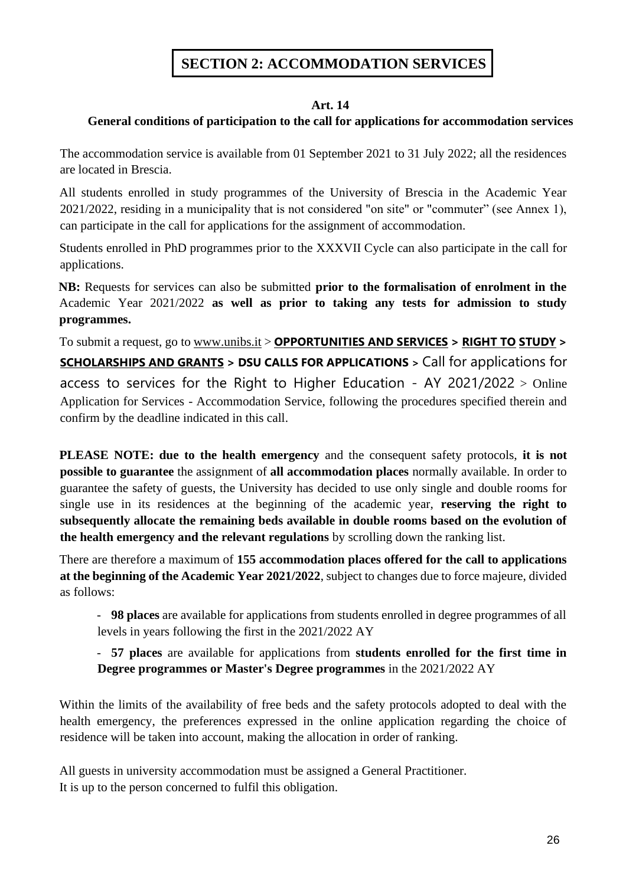## **SECTION 2: ACCOMMODATION SERVICES**

#### **Art. 14**

#### **General conditions of participation to the call for applications for accommodation services**

The accommodation service is available from 01 September 2021 to 31 July 2022; all the residences are located in Brescia.

All students enrolled in study programmes of the University of Brescia in the Academic Year 2021/2022, residing in a municipality that is not considered "on site" or "commuter" (see Annex 1), can participate in the call for applications for the assignment of accommodation.

Students enrolled in PhD programmes prior to the XXXVII Cycle can also participate in the call for applications.

**NB:** Requests for services can also be submitted **prior to the formalisation of enrolment in the**  Academic Year 2021/2022 **as well as prior to taking any tests for admission to study programmes.**

To submit a request, go to [www.unibs.it](http://en.unibs.it/) > **[OPPORTUNITIES AND SERVICES](https://www.unibs.it/it/opportunita-e-servizi) > [RIGHT TO](https://www.unibs.it/it/opportunita-e-servizi/diritto-allo-studio) [STUDY](https://www.unibs.it/it/opportunita-e-servizi/diritto-allo-studio) > [SCHOLARSHIPS AND GRANTS](https://www.unibs.it/it/opportunita-e-servizi/diritto-allo-studio/borse-di-studio-e-premi) > DSU CALLS FOR APPLICATIONS >** Call for applications for access to services for the Right to Higher Education - AY 2021/2022  $>$  Online Application for Services - Accommodation Service, following the procedures specified therein and confirm by the deadline indicated in this call.

**PLEASE NOTE: due to the health emergency** and the consequent safety protocols, **it is not possible to guarantee** the assignment of **all accommodation places** normally available. In order to guarantee the safety of guests, the University has decided to use only single and double rooms for single use in its residences at the beginning of the academic year, **reserving the right to subsequently allocate the remaining beds available in double rooms based on the evolution of the health emergency and the relevant regulations** by scrolling down the ranking list.

There are therefore a maximum of **155 accommodation places offered for the call to applications at the beginning of the Academic Year 2021/2022**, subject to changes due to force majeure, divided as follows:

- **98 places** are available for applications from students enrolled in degree programmes of all levels in years following the first in the 2021/2022 AY

- **57 places** are available for applications from **students enrolled for the first time in Degree programmes or Master's Degree programmes** in the 2021/2022 AY

Within the limits of the availability of free beds and the safety protocols adopted to deal with the health emergency, the preferences expressed in the online application regarding the choice of residence will be taken into account, making the allocation in order of ranking.

All guests in university accommodation must be assigned a General Practitioner. It is up to the person concerned to fulfil this obligation.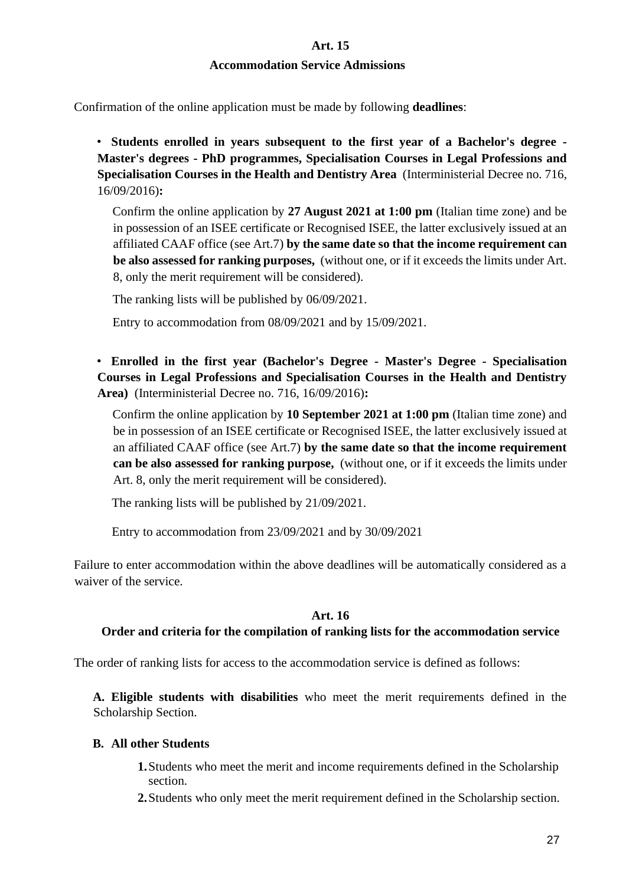**Art. 15**

#### **Accommodation Service Admissions**

Confirmation of the online application must be made by following **deadlines**:

• **Students enrolled in years subsequent to the first year of a Bachelor's degree - Master's degrees - PhD programmes, Specialisation Courses in Legal Professions and Specialisation Courses in the Health and Dentistry Area** (Interministerial Decree no. 716, 16/09/2016)**:**

Confirm the online application by **27 August 2021 at 1:00 pm** (Italian time zone) and be in possession of an ISEE certificate or Recognised ISEE, the latter exclusively issued at an affiliated CAAF office (see Art.7) **by the same date so that the income requirement can be also assessed for ranking purposes,** (without one, or if it exceeds the limits under Art. 8, only the merit requirement will be considered).

The ranking lists will be published by 06/09/2021.

Entry to accommodation from 08/09/2021 and by 15/09/2021.

• **Enrolled in the first year (Bachelor's Degree - Master's Degree - Specialisation Courses in Legal Professions and Specialisation Courses in the Health and Dentistry Area)** (Interministerial Decree no. 716, 16/09/2016)**:**

Confirm the online application by **10 September 2021 at 1:00 pm** (Italian time zone) and be in possession of an ISEE certificate or Recognised ISEE, the latter exclusively issued at an affiliated CAAF office (see Art.7) **by the same date so that the income requirement can be also assessed for ranking purpose,** (without one, or if it exceeds the limits under Art. 8, only the merit requirement will be considered).

The ranking lists will be published by 21/09/2021.

Entry to accommodation from 23/09/2021 and by 30/09/2021

Failure to enter accommodation within the above deadlines will be automatically considered as a waiver of the service.

#### **Art. 16**

#### **Order and criteria for the compilation of ranking lists for the accommodation service**

The order of ranking lists for access to the accommodation service is defined as follows:

**A. Eligible students with disabilities** who meet the merit requirements defined in the Scholarship Section.

#### **B. All other Students**

- **1.**Students who meet the merit and income requirements defined in the Scholarship section.
- **2.**Students who only meet the merit requirement defined in the Scholarship section.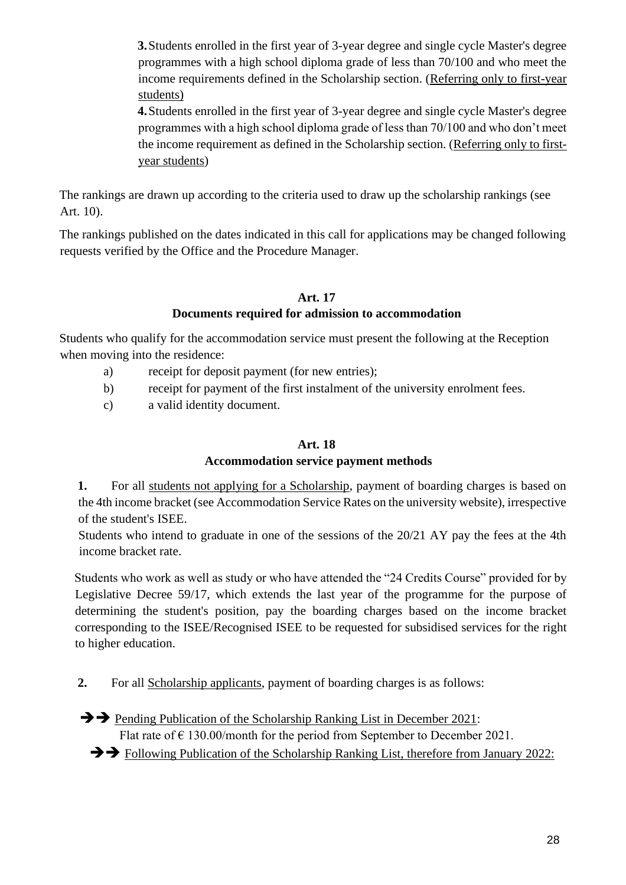**3.**Students enrolled in the first year of 3-year degree and single cycle Master's degree programmes with a high school diploma grade of less than 70/100 and who meet the income requirements defined in the Scholarship section. (Referring only to first-year students)

**4.**Students enrolled in the first year of 3-year degree and single cycle Master's degree programmes with a high school diploma grade of less than 70/100 and who don't meet the income requirement as defined in the Scholarship section. (Referring only to firstyear students)

The rankings are drawn up according to the criteria used to draw up the scholarship rankings (see Art. 10).

The rankings published on the dates indicated in this call for applications may be changed following requests verified by the Office and the Procedure Manager.

## **Art. 17**

#### **Documents required for admission to accommodation**

Students who qualify for the accommodation service must present the following at the Reception when moving into the residence:

- a) receipt for deposit payment (for new entries);
- b) receipt for payment of the first instalment of the university enrolment fees.
- c) a valid identity document.

#### **Art. 18**

#### **Accommodation service payment methods**

**1.** For all students not applying for a Scholarship, payment of boarding charges is based on the 4th income bracket (see Accommodation Service Rates on the university website), irrespective of the student's ISEE.

Students who intend to graduate in one of the sessions of the 20/21 AY pay the fees at the 4th income bracket rate.

Students who work as well as study or who have attended the "24 Credits Course" provided for by Legislative Decree 59/17, which extends the last year of the programme for the purpose of determining the student's position, pay the boarding charges based on the income bracket corresponding to the ISEE/Recognised ISEE to be requested for subsidised services for the right to higher education.

**2.** For all Scholarship applicants, payment of boarding charges is as follows:

➔➔ Pending Publication of the Scholarship Ranking List in December 2021: Flat rate of  $\epsilon$  130.00/month for the period from September to December 2021.

➔➔ Following Publication of the Scholarship Ranking List, therefore from January 2022: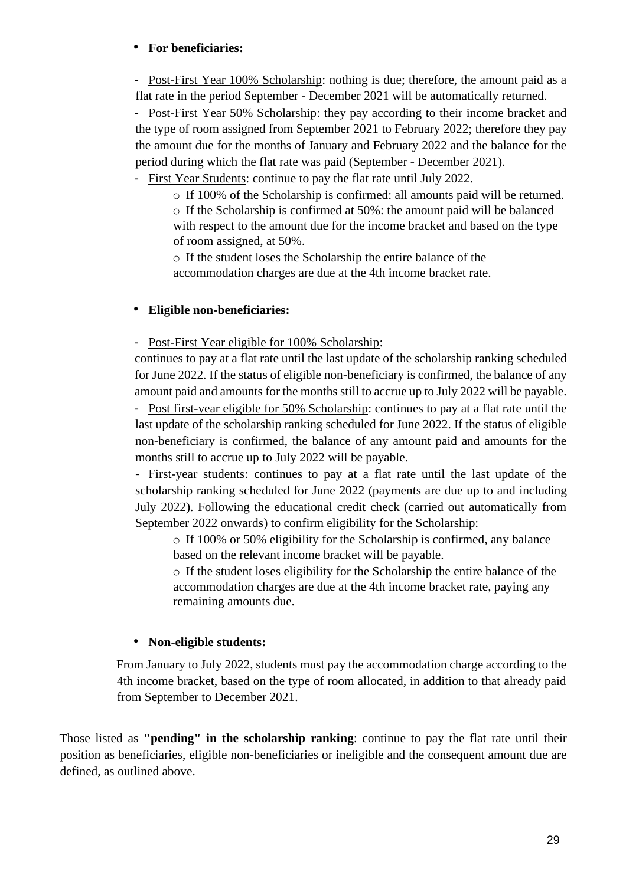#### • **For beneficiaries:**

- Post-First Year 100% Scholarship: nothing is due; therefore, the amount paid as a flat rate in the period September - December 2021 will be automatically returned.

- Post-First Year 50% Scholarship: they pay according to their income bracket and the type of room assigned from September 2021 to February 2022; therefore they pay the amount due for the months of January and February 2022 and the balance for the period during which the flat rate was paid (September - December 2021).

- First Year Students: continue to pay the flat rate until July 2022.

o If 100% of the Scholarship is confirmed: all amounts paid will be returned.

o If the Scholarship is confirmed at 50%: the amount paid will be balanced with respect to the amount due for the income bracket and based on the type of room assigned, at 50%.

o If the student loses the Scholarship the entire balance of the accommodation charges are due at the 4th income bracket rate.

## • **Eligible non-beneficiaries:**

- Post-First Year eligible for 100% Scholarship:

continues to pay at a flat rate until the last update of the scholarship ranking scheduled for June 2022. If the status of eligible non-beneficiary is confirmed, the balance of any amount paid and amounts for the months still to accrue up to July 2022 will be payable.

- Post first-year eligible for 50% Scholarship: continues to pay at a flat rate until the last update of the scholarship ranking scheduled for June 2022. If the status of eligible non-beneficiary is confirmed, the balance of any amount paid and amounts for the months still to accrue up to July 2022 will be payable.

- First-year students: continues to pay at a flat rate until the last update of the scholarship ranking scheduled for June 2022 (payments are due up to and including July 2022). Following the educational credit check (carried out automatically from September 2022 onwards) to confirm eligibility for the Scholarship:

o If 100% or 50% eligibility for the Scholarship is confirmed, any balance based on the relevant income bracket will be payable.

o If the student loses eligibility for the Scholarship the entire balance of the accommodation charges are due at the 4th income bracket rate, paying any remaining amounts due.

## • **Non-eligible students:**

From January to July 2022, students must pay the accommodation charge according to the 4th income bracket, based on the type of room allocated, in addition to that already paid from September to December 2021.

Those listed as **"pending" in the scholarship ranking**: continue to pay the flat rate until their position as beneficiaries, eligible non-beneficiaries or ineligible and the consequent amount due are defined, as outlined above.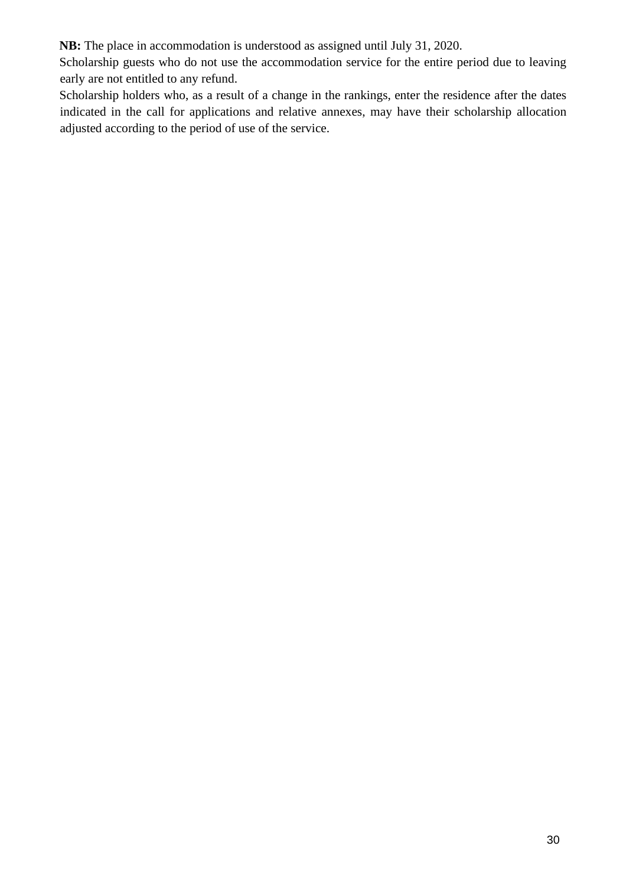**NB:** The place in accommodation is understood as assigned until July 31, 2020.

Scholarship guests who do not use the accommodation service for the entire period due to leaving early are not entitled to any refund.

Scholarship holders who, as a result of a change in the rankings, enter the residence after the dates indicated in the call for applications and relative annexes, may have their scholarship allocation adjusted according to the period of use of the service.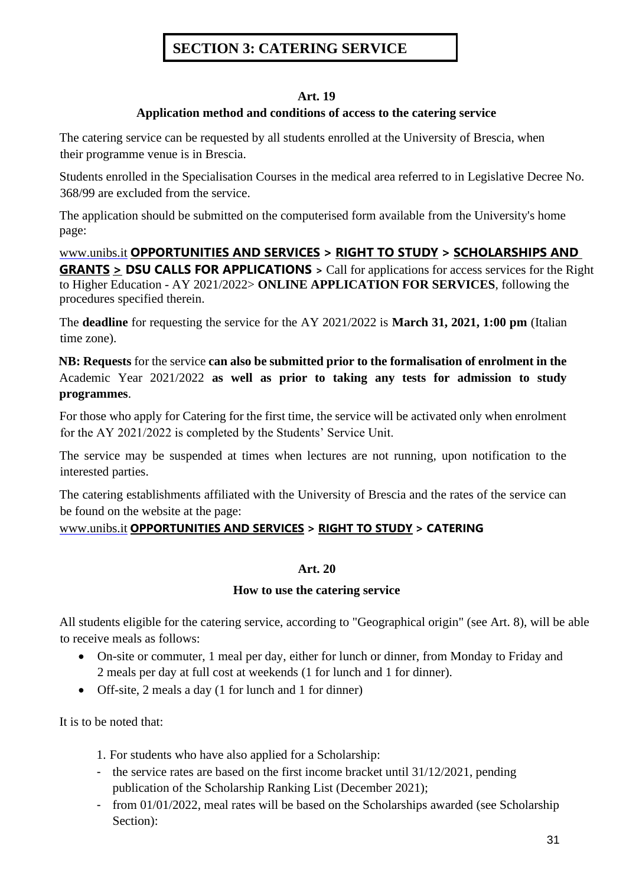## **SECTION 3: CATERING SERVICE**

#### **Art. 19**

#### **Application method and conditions of access to the catering service**

The catering service can be requested by all students enrolled at the University of Brescia, when their programme venue is in Brescia.

Students enrolled in the Specialisation Courses in the medical area referred to in Legislative Decree No. 368/99 are excluded from the service.

The application should be submitted on the computerised form available from the University's home page:

[www.unibs.it](http://en.unibs.it/) **[OPPORTUNITIES AND SERVICES](https://www.unibs.it/it/opportunita-e-servizi) > [RIGHT TO STUDY](https://www.unibs.it/it/opportunita-e-servizi/diritto-allo-studio) > [SCHOLARSHIPS AND](https://www.unibs.it/it/opportunita-e-servizi/diritto-allo-studio/borse-di-studio-e-premi)  [GRANTS](https://www.unibs.it/it/opportunita-e-servizi/diritto-allo-studio/borse-di-studio-e-premi) > DSU CALLS FOR APPLICATIONS >** Call for applications for access services for the Right to Higher Education - AY 2021/2022> **ONLINE APPLICATION FOR SERVICES**, following the procedures specified therein.

The **deadline** for requesting the service for the AY 2021/2022 is **March 31, 2021, 1:00 pm** (Italian time zone).

**NB: Requests** for the service **can also be submitted prior to the formalisation of enrolment in the**  Academic Year 2021/2022 **as well as prior to taking any tests for admission to study programmes**.

For those who apply for Catering for the first time, the service will be activated only when enrolment for the AY 2021/2022 is completed by the Students' Service Unit.

The service may be suspended at times when lectures are not running, upon notification to the interested parties.

The catering establishments affiliated with the University of Brescia and the rates of the service can be found on the website at the page:

## [www.unibs.it](http://en.unibs.it/) **[OPPORTUNITIES AND SERVICES](https://www.unibs.it/it/opportunita-e-servizi) > [RIGHT TO STUDY](https://www.unibs.it/it/opportunita-e-servizi/diritto-allo-studio) > CATERING**

#### **Art. 20**

#### **How to use the catering service**

All students eligible for the catering service, according to "Geographical origin" (see Art. 8), will be able to receive meals as follows:

- On-site or commuter, 1 meal per day, either for lunch or dinner, from Monday to Friday and 2 meals per day at full cost at weekends (1 for lunch and 1 for dinner).
- Off-site, 2 meals a day (1 for lunch and 1 for dinner)

It is to be noted that:

- 1. For students who have also applied for a Scholarship:
- the service rates are based on the first income bracket until 31/12/2021, pending publication of the Scholarship Ranking List (December 2021);
- from 01/01/2022, meal rates will be based on the Scholarships awarded (see Scholarship Section):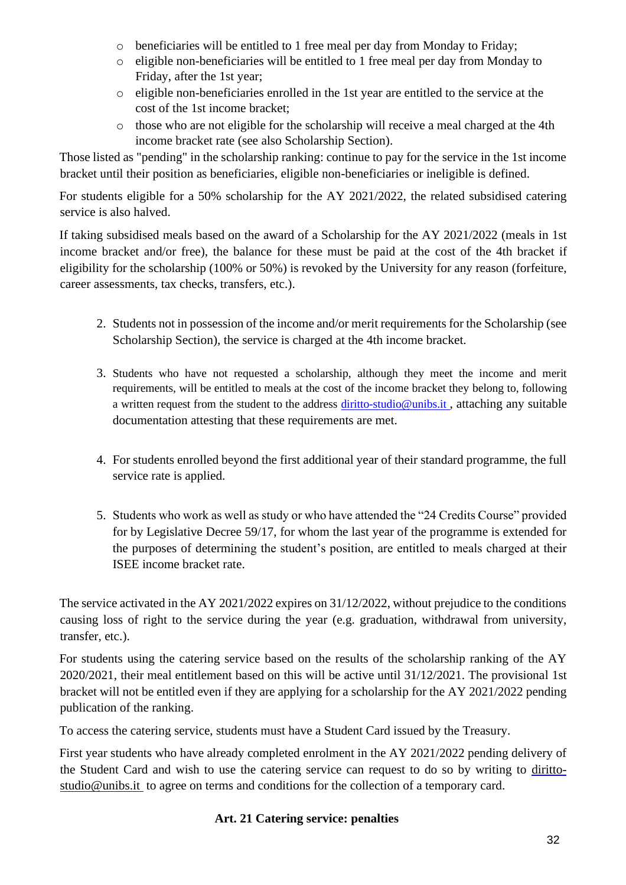- o beneficiaries will be entitled to 1 free meal per day from Monday to Friday;
- o eligible non-beneficiaries will be entitled to 1 free meal per day from Monday to Friday, after the 1st year;
- o eligible non-beneficiaries enrolled in the 1st year are entitled to the service at the cost of the 1st income bracket;
- o those who are not eligible for the scholarship will receive a meal charged at the 4th income bracket rate (see also Scholarship Section).

Those listed as "pending" in the scholarship ranking: continue to pay for the service in the 1st income bracket until their position as beneficiaries, eligible non-beneficiaries or ineligible is defined.

For students eligible for a 50% scholarship for the AY 2021/2022, the related subsidised catering service is also halved.

If taking subsidised meals based on the award of a Scholarship for the AY 2021/2022 (meals in 1st income bracket and/or free), the balance for these must be paid at the cost of the 4th bracket if eligibility for the scholarship (100% or 50%) is revoked by the University for any reason (forfeiture, career assessments, tax checks, transfers, etc.).

- 2. Students not in possession of the income and/or merit requirements for the Scholarship (see Scholarship Section), the service is charged at the 4th income bracket.
- 3. Students who have not requested a scholarship, although they meet the income and merit requirements, will be entitled to meals at the cost of the income bracket they belong to, following a written request from the student to the address diritto-studio@unibs.it , attaching any suitable documentation attesting that these requirements are met.
- 4. For students enrolled beyond the first additional year of their standard programme, the full service rate is applied.
- 5. Students who work as well as study or who have attended the "24 Credits Course" provided for by Legislative Decree 59/17, for whom the last year of the programme is extended for the purposes of determining the student's position, are entitled to meals charged at their ISEE income bracket rate.

The service activated in the AY 2021/2022 expires on 31/12/2022, without prejudice to the conditions causing loss of right to the service during the year (e.g. graduation, withdrawal from university, transfer, etc.).

For students using the catering service based on the results of the scholarship ranking of the AY 2020/2021, their meal entitlement based on this will be active until 31/12/2021. The provisional 1st bracket will not be entitled even if they are applying for a scholarship for the AY 2021/2022 pending publication of the ranking.

To access the catering service, students must have a Student Card issued by the Treasury.

First year students who have already completed enrolment in the AY 2021/2022 pending delivery of the Student Card and wish to use the catering service can request to do so by writing to [diritto](mailto:diritto-studio@unibs.it)[studio@unibs.it](mailto:diritto-studio@unibs.it) to agree on terms and conditions for the collection of a temporary card.

## **Art. 21 Catering service: penalties**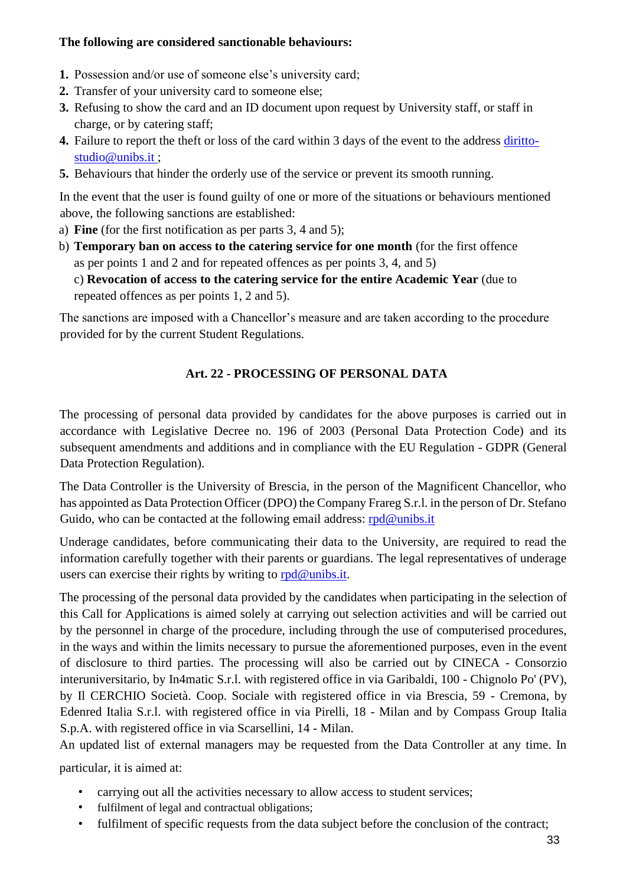#### **The following are considered sanctionable behaviours:**

- **1.** Possession and/or use of someone else's university card;
- **2.** Transfer of your university card to someone else;
- **3.** Refusing to show the card and an ID document upon request by University staff, or staff in charge, or by catering staff;
- **4.** Failure to report the theft or loss of the card within 3 days of the event to the address [diritto](mailto:diritto-studio@unibs.it)[studio@unibs.it ;](mailto:diritto-studio@unibs.it)
- **5.** Behaviours that hinder the orderly use of the service or prevent its smooth running.

In the event that the user is found guilty of one or more of the situations or behaviours mentioned above, the following sanctions are established:

- a) **Fine** (for the first notification as per parts 3, 4 and 5);
- b) **Temporary ban on access to the catering service for one month** (for the first offence as per points 1 and 2 and for repeated offences as per points 3, 4, and 5)

c) **Revocation of access to the catering service for the entire Academic Year** (due to repeated offences as per points 1, 2 and 5).

The sanctions are imposed with a Chancellor's measure and are taken according to the procedure provided for by the current Student Regulations.

## **Art. 22 - PROCESSING OF PERSONAL DATA**

The processing of personal data provided by candidates for the above purposes is carried out in accordance with Legislative Decree no. 196 of 2003 (Personal Data Protection Code) and its subsequent amendments and additions and in compliance with the EU Regulation - GDPR (General Data Protection Regulation).

The Data Controller is the University of Brescia, in the person of the Magnificent Chancellor, who has appointed as Data Protection Officer (DPO) the Company Frareg S.r.l. in the person of Dr. Stefano Guido, who can be contacted at the following email address: [rpd@unibs.it](mailto:rpd@unibs.it)

Underage candidates, before communicating their data to the University, are required to read the information carefully together with their parents or guardians. The legal representatives of underage users can exercise their rights by writing to  $rpd@$  unibs.it.

The processing of the personal data provided by the candidates when participating in the selection of this Call for Applications is aimed solely at carrying out selection activities and will be carried out by the personnel in charge of the procedure, including through the use of computerised procedures, in the ways and within the limits necessary to pursue the aforementioned purposes, even in the event of disclosure to third parties. The processing will also be carried out by CINECA - Consorzio interuniversitario, by In4matic S.r.l. with registered office in via Garibaldi, 100 - Chignolo Po' (PV), by Il CERCHIO Società. Coop. Sociale with registered office in via Brescia, 59 - Cremona, by Edenred Italia S.r.l. with registered office in via Pirelli, 18 - Milan and by Compass Group Italia S.p.A. with registered office in via Scarsellini, 14 - Milan.

An updated list of external managers may be requested from the Data Controller at any time. In particular, it is aimed at:

- carrying out all the activities necessary to allow access to student services;
- fulfilment of legal and contractual obligations;
- fulfilment of specific requests from the data subject before the conclusion of the contract;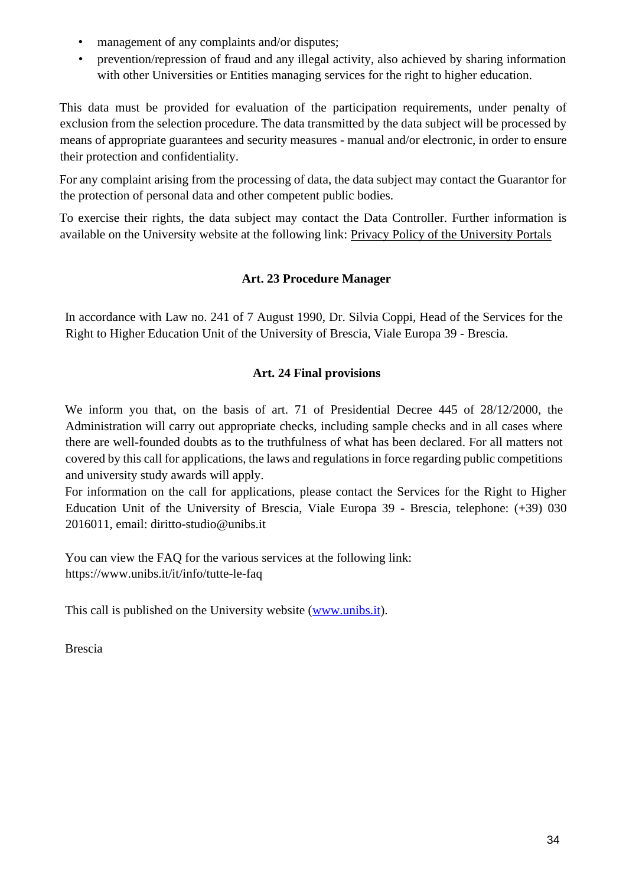- management of any complaints and/or disputes;
- prevention/repression of fraud and any illegal activity, also achieved by sharing information with other Universities or Entities managing services for the right to higher education.

This data must be provided for evaluation of the participation requirements, under penalty of exclusion from the selection procedure. The data transmitted by the data subject will be processed by means of appropriate guarantees and security measures - manual and/or electronic, in order to ensure their protection and confidentiality.

For any complaint arising from the processing of data, the data subject may contact the Guarantor for the protection of personal data and other competent public bodies.

To exercise their rights, the data subject may contact the Data Controller. Further information is available on the University website at the following link: [Privacy Policy of the University Portals](https://www.unibs.it/it/privacy-policy-dei-portali-di-ateneo)

## **Art. 23 Procedure Manager**

In accordance with Law no. 241 of 7 August 1990, Dr. Silvia Coppi, Head of the Services for the Right to Higher Education Unit of the University of Brescia, Viale Europa 39 - Brescia.

## **Art. 24 Final provisions**

We inform you that, on the basis of art. 71 of Presidential Decree 445 of 28/12/2000, the Administration will carry out appropriate checks, including sample checks and in all cases where there are well-founded doubts as to the truthfulness of what has been declared. For all matters not covered by this call for applications, the laws and regulations in force regarding public competitions and university study awards will apply.

For information on the call for applications, please contact the Services for the Right to Higher Education Unit of the University of Brescia, Viale Europa 39 - Brescia, telephone: (+39) 030 2016011, email: [diritto-studio@unibs.it](mailto:diritto-studio@unibs.it)

You can view the FAQ for the various services at the following link: https:[//www.unibs.it/it/info/tutte-le-faq](http://www.unibs.it/it/info/tutte-le-faq)

This call is published on the University website [\(www.unibs.it\)](http://www.unibs.it/).

Brescia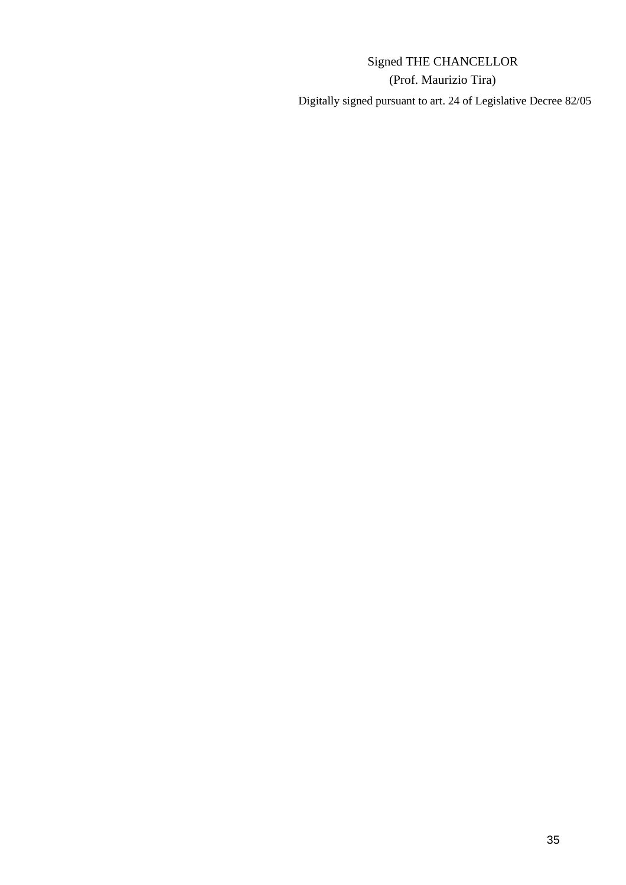# Signed THE CHANCELLOR (Prof. Maurizio Tira) Digitally signed pursuant to art. 24 of Legislative Decree 82/05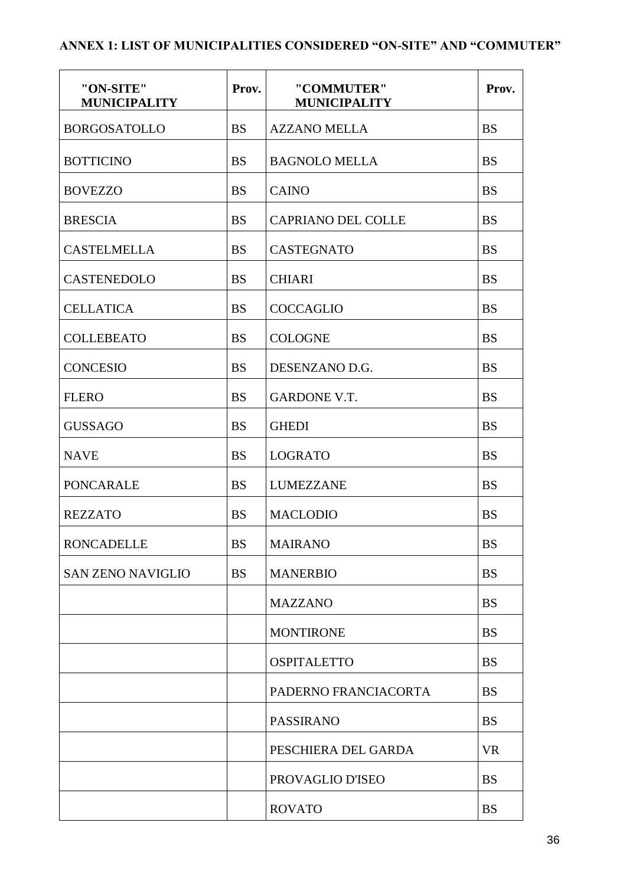## **ANNEX 1: LIST OF MUNICIPALITIES CONSIDERED "ON-SITE" AND "COMMUTER"**

| "ON-SITE"<br><b>MUNICIPALITY</b> | Prov.     | "COMMUTER"<br><b>MUNICIPALITY</b> | Prov.     |
|----------------------------------|-----------|-----------------------------------|-----------|
| <b>BORGOSATOLLO</b>              | <b>BS</b> | <b>AZZANO MELLA</b>               | <b>BS</b> |
| <b>BOTTICINO</b>                 | <b>BS</b> | <b>BAGNOLO MELLA</b>              | <b>BS</b> |
| <b>BOVEZZO</b>                   | <b>BS</b> | <b>CAINO</b>                      | <b>BS</b> |
| <b>BRESCIA</b>                   | <b>BS</b> | <b>CAPRIANO DEL COLLE</b>         | <b>BS</b> |
| <b>CASTELMELLA</b>               | <b>BS</b> | <b>CASTEGNATO</b>                 | <b>BS</b> |
| CASTENEDOLO                      | <b>BS</b> | <b>CHIARI</b>                     | <b>BS</b> |
| <b>CELLATICA</b>                 | <b>BS</b> | <b>COCCAGLIO</b>                  | <b>BS</b> |
| <b>COLLEBEATO</b>                | <b>BS</b> | <b>COLOGNE</b>                    | <b>BS</b> |
| <b>CONCESIO</b>                  | <b>BS</b> | DESENZANO D.G.                    | <b>BS</b> |
| <b>FLERO</b>                     | <b>BS</b> | <b>GARDONE V.T.</b>               | <b>BS</b> |
| <b>GUSSAGO</b>                   | <b>BS</b> | <b>GHEDI</b>                      | <b>BS</b> |
| <b>NAVE</b>                      | <b>BS</b> | <b>LOGRATO</b>                    | <b>BS</b> |
| <b>PONCARALE</b>                 | <b>BS</b> | <b>LUMEZZANE</b>                  | <b>BS</b> |
| <b>REZZATO</b>                   | <b>BS</b> | <b>MACLODIO</b>                   | <b>BS</b> |
| <b>RONCADELLE</b>                | <b>BS</b> | <b>MAIRANO</b>                    | <b>BS</b> |
| <b>SAN ZENO NAVIGLIO</b>         | <b>BS</b> | <b>MANERBIO</b>                   | <b>BS</b> |
|                                  |           | <b>MAZZANO</b>                    | <b>BS</b> |
|                                  |           | <b>MONTIRONE</b>                  | <b>BS</b> |
|                                  |           | <b>OSPITALETTO</b>                | <b>BS</b> |
|                                  |           | PADERNO FRANCIACORTA              | <b>BS</b> |
|                                  |           | <b>PASSIRANO</b>                  | <b>BS</b> |
|                                  |           | PESCHIERA DEL GARDA               | <b>VR</b> |
|                                  |           | PROVAGLIO D'ISEO                  | <b>BS</b> |
|                                  |           | <b>ROVATO</b>                     | <b>BS</b> |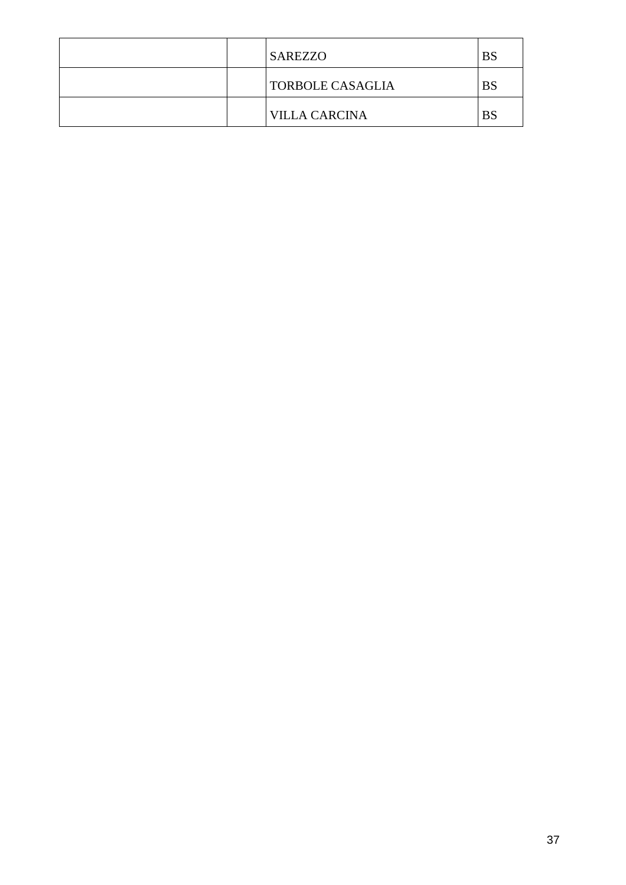|  | <b>SAREZZO</b>          | BS        |
|--|-------------------------|-----------|
|  | <b>TORBOLE CASAGLIA</b> | <b>BS</b> |
|  | <b>VILLA CARCINA</b>    | BS        |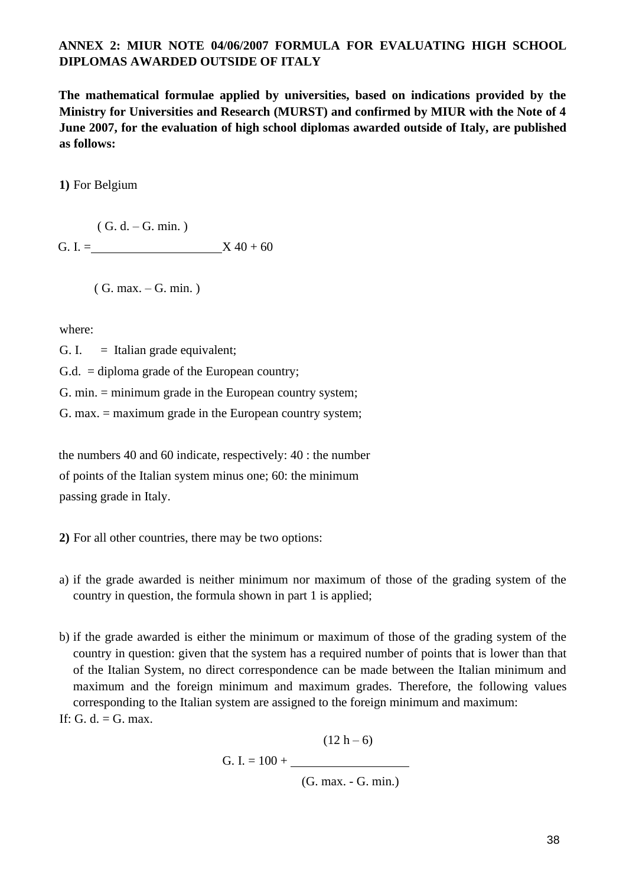#### **ANNEX 2: MIUR NOTE 04/06/2007 FORMULA FOR EVALUATING HIGH SCHOOL DIPLOMAS AWARDED OUTSIDE OF ITALY**

**The mathematical formulae applied by universities, based on indications provided by the Ministry for Universities and Research (MURST) and confirmed by MIUR with the Note of 4 June 2007, for the evaluation of high school diplomas awarded outside of Italy, are published as follows:**

**1)** For Belgium

 $(G. d. - G. min.)$ G. I. =  $X 40 + 60$ 

( G. max. – G. min. )

where:

G. I.  $=$  Italian grade equivalent;

G.d. = diploma grade of the European country;

G. min. = minimum grade in the European country system;

G. max. = maximum grade in the European country system;

the numbers 40 and 60 indicate, respectively: 40 : the number of points of the Italian system minus one; 60: the minimum passing grade in Italy.

**2)** For all other countries, there may be two options:

- a) if the grade awarded is neither minimum nor maximum of those of the grading system of the country in question, the formula shown in part 1 is applied;
- b) if the grade awarded is either the minimum or maximum of those of the grading system of the country in question: given that the system has a required number of points that is lower than that of the Italian System, no direct correspondence can be made between the Italian minimum and maximum and the foreign minimum and maximum grades. Therefore, the following values corresponding to the Italian system are assigned to the foreign minimum and maximum:
- If: G. d.  $=$  G. max.

 $(12 h - 6)$ G. I. = 100 + (G. max. - G. min.)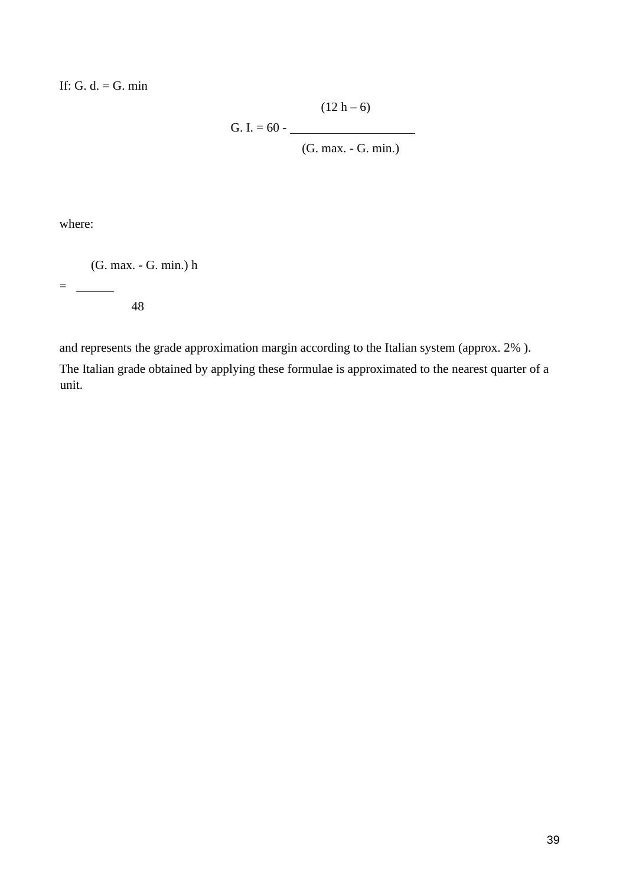If: G. d.  $=$  G. min

$$
(12 h - 6)
$$
  
G. I. = 60 - (G. max. - G. min.)

where:

(G. max. - G. min.) h

 $=$   $\frac{1}{2}$ 

48

and represents the grade approximation margin according to the Italian system (approx. 2% ). The Italian grade obtained by applying these formulae is approximated to the nearest quarter of a unit.